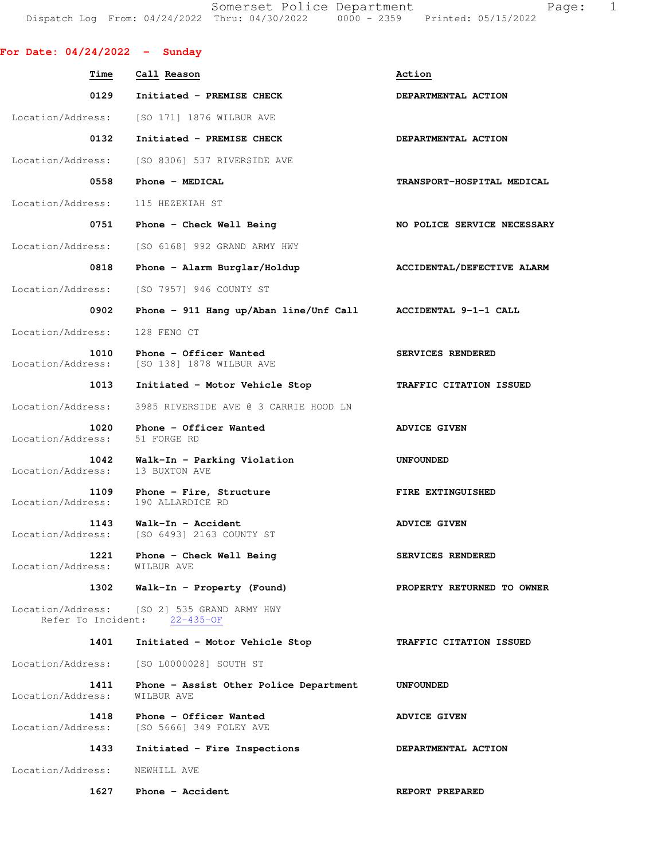Somerset Police Department Page: 1 Dispatch Log From: 04/24/2022 Thru: 04/30/2022 0000 - 2359 Printed: 05/15/2022

**For Date: 04/24/2022 - Sunday Time Call Reason Action**  0129 Initiated - PREMISE CHECK **DEPARTMENTAL ACTION** Location/Address: [SO 171] 1876 WILBUR AVE 0132 Initiated - PREMISE CHECK **DEPARTMENTAL ACTION** Location/Address: [SO 8306] 537 RIVERSIDE AVE 0558 Phone - MEDICAL **TRANSPORT-HOSPITAL MEDICAL**  Location/Address: 115 HEZEKIAH ST 0751 Phone - Check Well Being NO POLICE SERVICE NECESSARY Location/Address: [SO 6168] 992 GRAND ARMY HWY 0818 Phone - Alarm Burglar/Holdup **ACCIDENTAL/DEFECTIVE ALARM** Location/Address: [SO 7957] 946 COUNTY ST  **0902 Phone - 911 Hang up/Aban line/Unf Call ACCIDENTAL 9-1-1 CALL**  Location/Address: 128 FENO CT 1010 Phone - Officer Wanted **SERVICES RENDERED**  Location/Address: [SO 138] 1878 WILBUR AVE  **1013 Initiated - Motor Vehicle Stop TRAFFIC CITATION ISSUED**  Location/Address: 3985 RIVERSIDE AVE @ 3 CARRIE HOOD LN **1020 Phone - Officer Wanted ADVICE GIVEN**<br> **ess:** 51 FORGE RD Location/Address: **1042 Walk-In - Parking Violation 1042 WARPOUNDED**<br> **ess:** 13 BUXTON AVE Location/Address: **1109 Phone - Fire, Structure FIRE EXTINGUISHED**<br>ess: 190 ALLARDICE RD Location/Address: 1143 Walk-In - Accident **ADVICE GIVEN**  Location/Address: [SO 6493] 2163 COUNTY ST 1221 Phone - Check Well Being **SERVICES RENDERED**  Location/Address: WILBUR AVE  **1302 Walk-In - Property (Found) PROPERTY RETURNED TO OWNER**  Location/Address: [SO 2] 535 GRAND ARMY HWY Refer To Incident: 22-435-OF  **1401 Initiated - Motor Vehicle Stop TRAFFIC CITATION ISSUED**  Location/Address: [SO L0000028] SOUTH ST  **1411 Phone - Assist Other Police Department UNFOUNDED**  Location/Address: WILBUR AVE 1418 Phone - Officer Wanted **ADVICE GIVEN**  Location/Address: [SO 5666] 349 FOLEY AVE  **1433 Initiated - Fire Inspections DEPARTMENTAL ACTION**  Location/Address: NEWHILL AVE **1627** Phone - Accident **REPORT PREPARED**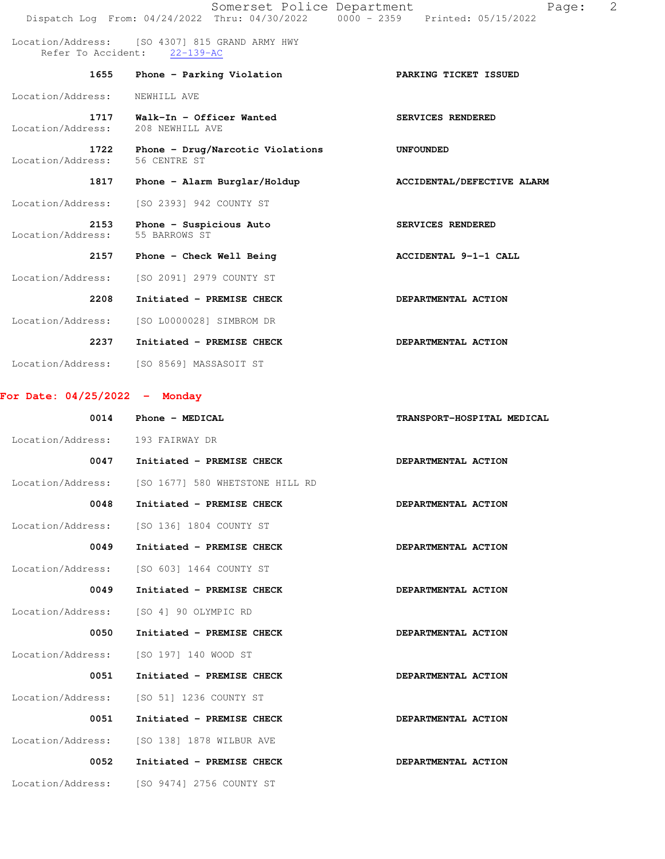|                           | Somerset Police Department                                                     | Page:<br>Dispatch Log From: 04/24/2022 Thru: 04/30/2022 0000 - 2359 Printed: 05/15/2022 | 2 |
|---------------------------|--------------------------------------------------------------------------------|-----------------------------------------------------------------------------------------|---|
|                           | Location/Address: [SO 4307] 815 GRAND ARMY HWY<br>Refer To Accident: 22-139-AC |                                                                                         |   |
| 1655                      | Phone - Parking Violation                                                      | PARKING TICKET ISSUED                                                                   |   |
| Location/Address:         | NEWHILL AVE                                                                    |                                                                                         |   |
| 1717<br>Location/Address: | Walk-In - Officer Wanted<br>208 NEWHILL AVE                                    | SERVICES RENDERED                                                                       |   |
| 1722<br>Location/Address: | Phone - Drug/Narcotic Violations<br>56 CENTRE ST                               | <b>UNFOUNDED</b>                                                                        |   |
| 1817                      | Phone - Alarm Burglar/Holdup                                                   | ACCIDENTAL/DEFECTIVE ALARM                                                              |   |
| Location/Address:         | [SO 2393] 942 COUNTY ST                                                        |                                                                                         |   |
| 2153<br>Location/Address: | Phone - Suspicious Auto<br>55 BARROWS ST                                       | SERVICES RENDERED                                                                       |   |
| 2157                      | Phone - Check Well Being                                                       | ACCIDENTAL 9-1-1 CALL                                                                   |   |
| Location/Address:         | [SO 2091] 2979 COUNTY ST                                                       |                                                                                         |   |
| 2208                      | Initiated - PREMISE CHECK                                                      | DEPARTMENTAL ACTION                                                                     |   |
| Location/Address:         | [SO L0000028] SIMBROM DR                                                       |                                                                                         |   |
| 2237                      | Initiated - PREMISE CHECK                                                      | DEPARTMENTAL ACTION                                                                     |   |
| Location/Address:         | [SO 8569] MASSASOIT ST                                                         |                                                                                         |   |

**For Date: 04/25/2022 - Monday**

| 0014              | Phone - MEDICAL                 | TRANSPORT-HOSPITAL MEDICAL |
|-------------------|---------------------------------|----------------------------|
| Location/Address: | 193 FAIRWAY DR                  |                            |
| 0047              | Initiated - PREMISE CHECK       | DEPARTMENTAL ACTION        |
| Location/Address: | [SO 1677] 580 WHETSTONE HILL RD |                            |
| 0048              | Initiated - PREMISE CHECK       | DEPARTMENTAL ACTION        |
| Location/Address: | [SO 136] 1804 COUNTY ST         |                            |
| 0049              | Initiated - PREMISE CHECK       | DEPARTMENTAL ACTION        |
| Location/Address: | [SO 603] 1464 COUNTY ST         |                            |
| 0049              | Initiated - PREMISE CHECK       | DEPARTMENTAL ACTION        |
| Location/Address: | [SO 4] 90 OLYMPIC RD            |                            |
| 0050              | Initiated - PREMISE CHECK       | DEPARTMENTAL ACTION        |
| Location/Address: | [SO 197] 140 WOOD ST            |                            |
| 0051              | Initiated - PREMISE CHECK       | DEPARTMENTAL ACTION        |
| Location/Address: | [SO 51] 1236 COUNTY ST          |                            |
| 0051              | Initiated - PREMISE CHECK       | DEPARTMENTAL ACTION        |
| Location/Address: | [SO 138] 1878 WILBUR AVE        |                            |
| 0052              | Initiated - PREMISE CHECK       | DEPARTMENTAL ACTION        |
| Location/Address: | [SO 9474] 2756 COUNTY ST        |                            |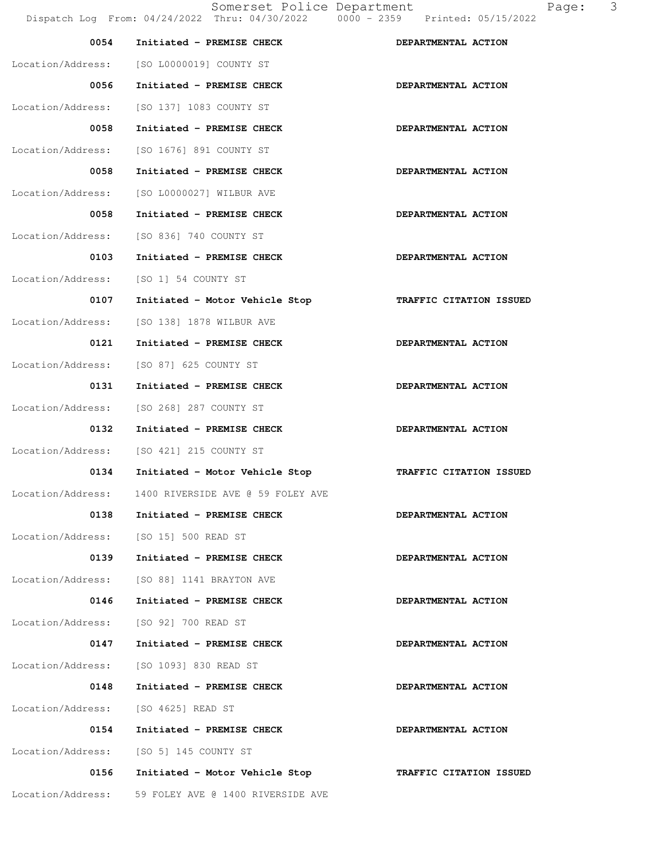| 0054                                  | Initiated - PREMISE CHECK                           | DEPARTMENTAL ACTION     |
|---------------------------------------|-----------------------------------------------------|-------------------------|
|                                       | Location/Address: [SO L0000019] COUNTY ST           |                         |
| 0056                                  | Initiated - PREMISE CHECK                           | DEPARTMENTAL ACTION     |
| Location/Address:                     | [SO 137] 1083 COUNTY ST                             |                         |
| 0058                                  | Initiated - PREMISE CHECK                           | DEPARTMENTAL ACTION     |
| Location/Address:                     | [SO 1676] 891 COUNTY ST                             |                         |
| 0058                                  | Initiated - PREMISE CHECK                           | DEPARTMENTAL ACTION     |
|                                       | Location/Address: [SO L0000027] WILBUR AVE          |                         |
| 0058                                  | Initiated - PREMISE CHECK                           | DEPARTMENTAL ACTION     |
| Location/Address:                     | [SO 836] 740 COUNTY ST                              |                         |
| 0103                                  | Initiated - PREMISE CHECK                           | DEPARTMENTAL ACTION     |
| Location/Address:                     | [SO 1] 54 COUNTY ST                                 |                         |
| 0107                                  | Initiated - Motor Vehicle Stop                      | TRAFFIC CITATION ISSUED |
| Location/Address:                     | [SO 138] 1878 WILBUR AVE                            |                         |
| 0121                                  | Initiated - PREMISE CHECK                           | DEPARTMENTAL ACTION     |
| Location/Address:                     | [SO 87] 625 COUNTY ST                               |                         |
| 0131                                  | Initiated - PREMISE CHECK                           | DEPARTMENTAL ACTION     |
| Location/Address:                     | [SO 268] 287 COUNTY ST                              |                         |
| 0132                                  | Initiated - PREMISE CHECK                           | DEPARTMENTAL ACTION     |
| Location/Address:                     | [SO 421] 215 COUNTY ST                              |                         |
| 0134                                  | Initiated - Motor Vehicle Stop                      | TRAFFIC CITATION ISSUED |
| Location/Address:                     | 1400 RIVERSIDE AVE @ 59 FOLEY AVE                   |                         |
| 0138                                  | Initiated - PREMISE CHECK                           | DEPARTMENTAL ACTION     |
| Location/Address: [SO 15] 500 READ ST |                                                     |                         |
| 0139                                  | Initiated - PREMISE CHECK                           | DEPARTMENTAL ACTION     |
|                                       | Location/Address: [SO 88] 1141 BRAYTON AVE          |                         |
| 0146                                  | Initiated - PREMISE CHECK                           | DEPARTMENTAL ACTION     |
| Location/Address: [SO 92] 700 READ ST |                                                     |                         |
| 0147                                  | Initiated - PREMISE CHECK                           | DEPARTMENTAL ACTION     |
|                                       | Location/Address: [SO 1093] 830 READ ST             |                         |
| 0148                                  | Initiated - PREMISE CHECK                           | DEPARTMENTAL ACTION     |
| Location/Address: [SO 4625] READ ST   |                                                     |                         |
| 0154                                  | Initiated - PREMISE CHECK                           | DEPARTMENTAL ACTION     |
| Location/Address:                     | [SO 5] 145 COUNTY ST                                |                         |
| 0156                                  | Initiated - Motor Vehicle Stop                      | TRAFFIC CITATION ISSUED |
|                                       | Location/Address: 59 FOLEY AVE @ 1400 RIVERSIDE AVE |                         |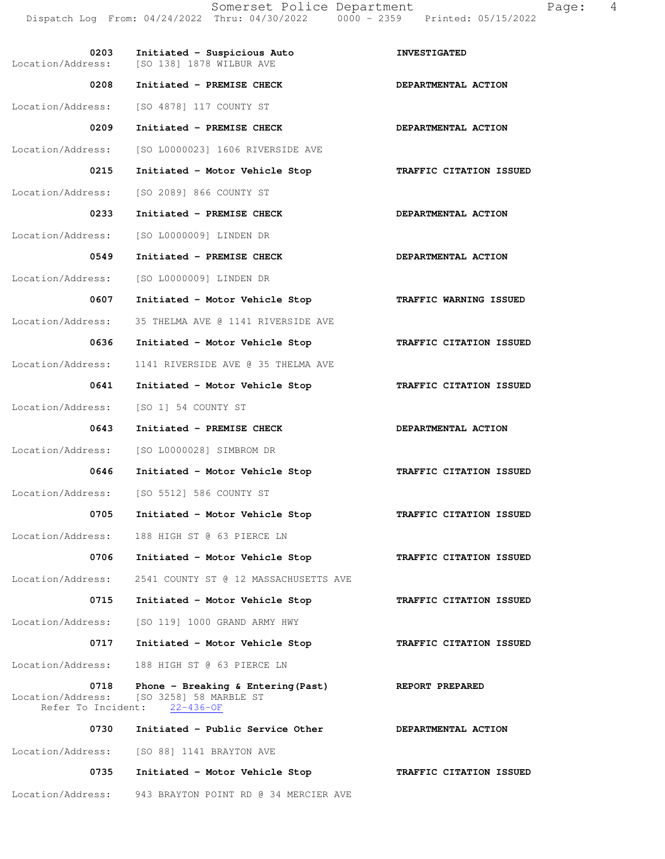Somerset Police Department Fage: 4 Dispatch Log From: 04/24/2022 Thru: 04/30/2022 0000 - 2359 Printed: 05/15/2022

0203 Initiated - Suspicious Auto **INVESTIGATED** Location/Address: [SO 138] 1878 WILBUR AVE 0208 Initiated - PREMISE CHECK **DEPARTMENTAL ACTION** Location/Address: [SO 4878] 117 COUNTY ST 0209 Initiated - PREMISE CHECK **DEPARTMENTAL ACTION**  Location/Address: [SO L0000023] 1606 RIVERSIDE AVE  **0215 Initiated - Motor Vehicle Stop TRAFFIC CITATION ISSUED**  Location/Address: [SO 2089] 866 COUNTY ST 0233 Initiated - PREMISE CHECK **DEPARTMENTAL ACTION** Location/Address: [SO L0000009] LINDEN DR 0549 Initiated - PREMISE CHECK **DEPARTMENTAL ACTION** Location/Address: [SO L0000009] LINDEN DR  **0607 Initiated - Motor Vehicle Stop TRAFFIC WARNING ISSUED**  Location/Address: 35 THELMA AVE @ 1141 RIVERSIDE AVE  **0636 Initiated - Motor Vehicle Stop TRAFFIC CITATION ISSUED**  Location/Address: 1141 RIVERSIDE AVE @ 35 THELMA AVE  **0641 Initiated - Motor Vehicle Stop TRAFFIC CITATION ISSUED**  Location/Address: [SO 1] 54 COUNTY ST 0643 Initiated - PREMISE CHECK **DEPARTMENTAL ACTION** Location/Address: [SO L0000028] SIMBROM DR  **0646 Initiated - Motor Vehicle Stop TRAFFIC CITATION ISSUED**  Location/Address: [SO 5512] 586 COUNTY ST  **0705 Initiated - Motor Vehicle Stop TRAFFIC CITATION ISSUED**  Location/Address: 188 HIGH ST @ 63 PIERCE LN  **0706 Initiated - Motor Vehicle Stop TRAFFIC CITATION ISSUED**  Location/Address: 2541 COUNTY ST @ 12 MASSACHUSETTS AVE  **0715 Initiated - Motor Vehicle Stop TRAFFIC CITATION ISSUED**  Location/Address: [SO 119] 1000 GRAND ARMY HWY 0717 Initiated - Motor Vehicle Stop **TRAFFIC CITATION ISSUED** Location/Address: 188 HIGH ST @ 63 PIERCE LN **0718 Phone - Breaking & Entering(Past)** REPORT PREPARED **REPORT PREPARED REPORT PREPARED** [SO 3258] 58 MARBLE ST Refer To Incident: 22-436-OF 0730 Initiated - Public Service Other **DEPARTMENTAL ACTION** Location/Address: [SO 88] 1141 BRAYTON AVE  **0735 Initiated - Motor Vehicle Stop TRAFFIC CITATION ISSUED**  Location/Address: 943 BRAYTON POINT RD @ 34 MERCIER AVE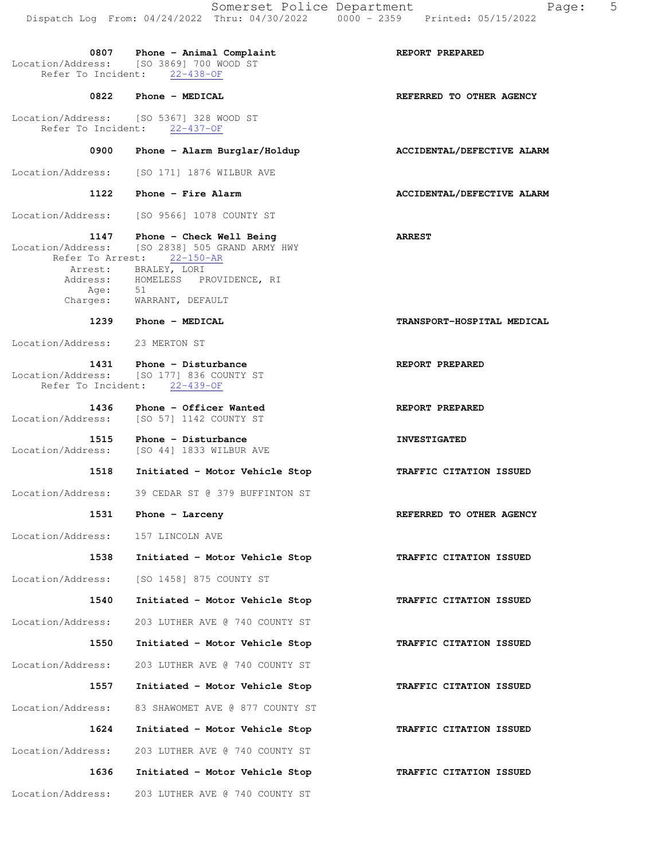|                                               | Somerset Police Department<br>Dispatch Log From: 04/24/2022 Thru: 04/30/2022 0000 - 2359 Printed: 05/15/2022 | 5<br>Page:                     |
|-----------------------------------------------|--------------------------------------------------------------------------------------------------------------|--------------------------------|
| Refer To Incident:                            | 0807 Phone - Animal Complaint<br>Location/Address: [SO 3869] 700 WOOD ST<br>$22 - 438 - OF$                  | REPORT PREPARED                |
|                                               | 0822 Phone - MEDICAL                                                                                         | REFERRED TO OTHER AGENCY       |
|                                               | Location/Address: [SO 5367] 328 WOOD ST<br>Refer To Incident: 22-437-OF                                      |                                |
| 0900                                          | Phone - Alarm Burglar/Holdup                                                                                 | ACCIDENTAL/DEFECTIVE ALARM     |
| Location/Address:                             | [SO 171] 1876 WILBUR AVE                                                                                     |                                |
| 1122                                          | Phone - Fire Alarm                                                                                           | ACCIDENTAL/DEFECTIVE ALARM     |
| Location/Address:                             | [SO 9566] 1078 COUNTY ST                                                                                     |                                |
| 1147<br>Location/Address:<br>Refer To Arrest: | Phone - Check Well Being<br>[SO 2838] 505 GRAND ARMY HWY<br>$22 - 150 - AR$                                  | <b>ARREST</b>                  |
|                                               | Arrest: BRALEY, LORI<br>Address: HOMELESS PROVIDENCE, RI                                                     |                                |
| Age:                                          | 51<br>Charges: WARRANT, DEFAULT                                                                              |                                |
|                                               | 1239 Phone - MEDICAL                                                                                         | TRANSPORT-HOSPITAL MEDICAL     |
| Location/Address:                             | 23 MERTON ST                                                                                                 |                                |
| Location/Address:<br>Refer To Incident:       | 1431 Phone - Disturbance<br>[SO 177] 836 COUNTY ST<br>$22 - 439 - OF$                                        | REPORT PREPARED                |
| 1436<br>Location/Address:                     | Phone - Officer Wanted<br>[SO 57] 1142 COUNTY ST                                                             | REPORT PREPARED                |
| 1515                                          | Phone - Disturbance<br>Location/Address: [SO 44] 1833 WILBUR AVE                                             | <b>INVESTIGATED</b>            |
| 1518                                          | Initiated - Motor Vehicle Stop                                                                               | <b>TRAFFIC CITATION ISSUED</b> |
|                                               | Location/Address: 39 CEDAR ST @ 379 BUFFINTON ST                                                             |                                |
| 1531                                          | Phone $-$ Larceny                                                                                            | REFERRED TO OTHER AGENCY       |
| Location/Address:                             | 157 LINCOLN AVE                                                                                              |                                |
| 1538                                          | Initiated - Motor Vehicle Stop                                                                               | TRAFFIC CITATION ISSUED        |
| Location/Address:                             | [SO 1458] 875 COUNTY ST                                                                                      |                                |
| 1540                                          | Initiated - Motor Vehicle Stop                                                                               | TRAFFIC CITATION ISSUED        |
| Location/Address:                             | 203 LUTHER AVE @ 740 COUNTY ST                                                                               |                                |
|                                               |                                                                                                              |                                |
| 1550                                          | Initiated - Motor Vehicle Stop                                                                               | TRAFFIC CITATION ISSUED        |

 **1557 Initiated - Motor Vehicle Stop TRAFFIC CITATION ISSUED**  Location/Address: 83 SHAWOMET AVE @ 877 COUNTY ST  **1624 Initiated - Motor Vehicle Stop TRAFFIC CITATION ISSUED**  Location/Address: 203 LUTHER AVE @ 740 COUNTY ST  **1636 Initiated - Motor Vehicle Stop TRAFFIC CITATION ISSUED**  Location/Address: 203 LUTHER AVE @ 740 COUNTY ST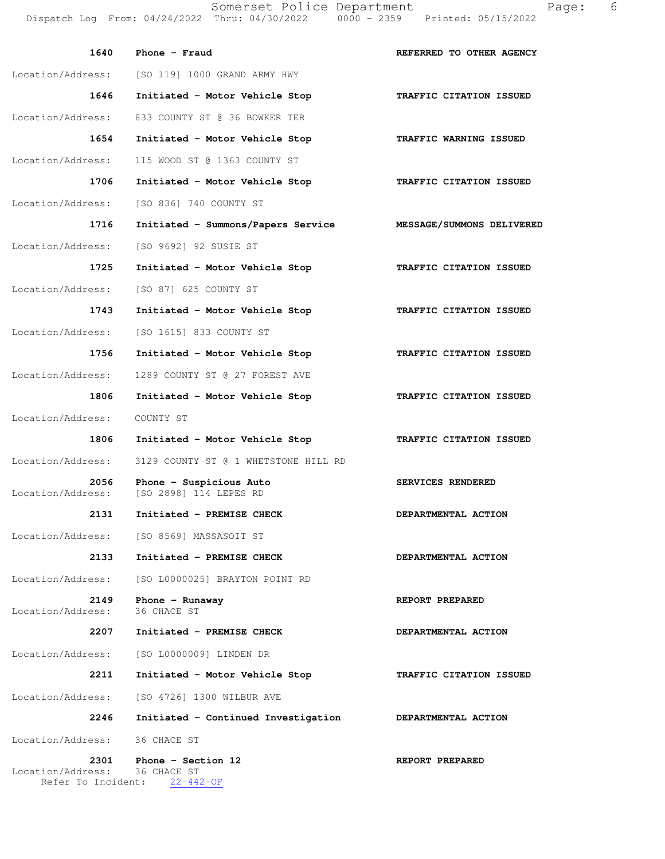Somerset Police Department Page: 6 Dispatch Log From:  $04/24/2022$ 

| pomeraed rotice pepardment |               |                    |
|----------------------------|---------------|--------------------|
| Thru: 04/30/2022           | $0000 - 2359$ | Printed: 05/15/202 |

| 1640                      | Phone $-$ Fraud                                                   | REFERRED TO OTHER AGENCY   |
|---------------------------|-------------------------------------------------------------------|----------------------------|
| Location/Address:         | [SO 119] 1000 GRAND ARMY HWY                                      |                            |
| 1646                      | Initiated - Motor Vehicle Stop                                    | TRAFFIC CITATION ISSUED    |
| Location/Address:         | 833 COUNTY ST @ 36 BOWKER TER                                     |                            |
| 1654                      | Initiated - Motor Vehicle Stop                                    | TRAFFIC WARNING ISSUED     |
| Location/Address:         | 115 WOOD ST @ 1363 COUNTY ST                                      |                            |
| 1706                      | Initiated - Motor Vehicle Stop                                    | TRAFFIC CITATION ISSUED    |
| Location/Address:         | [SO 836] 740 COUNTY ST                                            |                            |
| 1716                      | Initiated - Summons/Papers Service                                | MESSAGE/SUMMONS DELIVERED  |
| Location/Address:         | [SO 9692] 92 SUSIE ST                                             |                            |
| 1725                      | Initiated - Motor Vehicle Stop                                    | TRAFFIC CITATION ISSUED    |
| Location/Address:         | [SO 87] 625 COUNTY ST                                             |                            |
| 1743                      | Initiated - Motor Vehicle Stop                                    | TRAFFIC CITATION ISSUED    |
| Location/Address:         | [SO 1615] 833 COUNTY ST                                           |                            |
| 1756                      | Initiated - Motor Vehicle Stop                                    | TRAFFIC CITATION ISSUED    |
| Location/Address:         | 1289 COUNTY ST @ 27 FOREST AVE                                    |                            |
| 1806                      | Initiated - Motor Vehicle Stop                                    | TRAFFIC CITATION ISSUED    |
| Location/Address:         | COUNTY ST                                                         |                            |
| 1806                      | Initiated - Motor Vehicle Stop                                    | TRAFFIC CITATION ISSUED    |
| Location/Address:         | 3129 COUNTY ST @ 1 WHETSTONE HILL RD                              |                            |
| 2056<br>Location/Address: | Phone - Suspicious Auto<br>[SO 2898] 114 LEPES RD                 | SERVICES RENDERED          |
| 2131                      | Initiated - PREMISE CHECK                                         | DEPARTMENTAL ACTION        |
| Location/Address:         | [SO 8569] MASSASOIT ST                                            |                            |
| 2133                      | Initiated - PREMISE CHECK                                         | DEPARTMENTAL ACTION        |
| Location/Address:         | [SO L0000025] BRAYTON POINT RD                                    |                            |
| 2149<br>Location/Address: | Phone $-$ Runaway<br>36 CHACE ST                                  | REPORT PREPARED            |
| 2207                      | Initiated - PREMISE CHECK                                         | DEPARTMENTAL ACTION        |
| Location/Address:         | [SO L0000009] LINDEN DR                                           |                            |
| 2211                      | Initiated - Motor Vehicle Stop                                    | TRAFFIC CITATION ISSUED    |
| Location/Address:         | [SO 4726] 1300 WILBUR AVE                                         |                            |
| 2246                      | Initiated - Continued Investigation                               | <b>DEPARTMENTAL ACTION</b> |
| Location/Address:         | 36 CHACE ST                                                       |                            |
| 2301<br>Location/Address: | Phone - Section 12<br>36 CHACE ST<br>Refer To Incident: 22-442-OF | REPORT PREPARED            |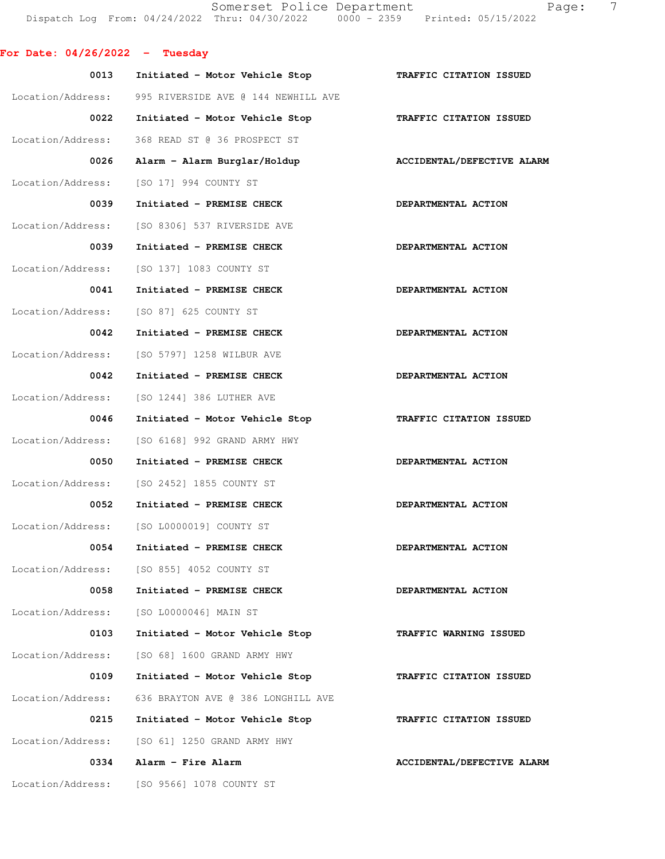Somerset Police Department Fage: 7 Dispatch Log From: 04/24/2022 Thru: 04/30/2022 0000 - 2359 Printed: 05/15/2022

|  |  | For Date: 04/26/2022 |  | Tuesday |
|--|--|----------------------|--|---------|
|--|--|----------------------|--|---------|

| 0013              | Initiated - Motor Vehicle Stop            | TRAFFIC CITATION ISSUED           |
|-------------------|-------------------------------------------|-----------------------------------|
| Location/Address: | 995 RIVERSIDE AVE @ 144 NEWHILL AVE       |                                   |
| 0022              | Initiated - Motor Vehicle Stop            | TRAFFIC CITATION ISSUED           |
| Location/Address: | 368 READ ST @ 36 PROSPECT ST              |                                   |
| 0026              | Alarm - Alarm Burglar/Holdup              | <b>ACCIDENTAL/DEFECTIVE ALARM</b> |
| Location/Address: | [SO 17] 994 COUNTY ST                     |                                   |
| 0039              | Initiated - PREMISE CHECK                 | DEPARTMENTAL ACTION               |
| Location/Address: | [SO 8306] 537 RIVERSIDE AVE               |                                   |
| 0039              | Initiated - PREMISE CHECK                 | DEPARTMENTAL ACTION               |
| Location/Address: | [SO 137] 1083 COUNTY ST                   |                                   |
| 0041              | Initiated - PREMISE CHECK                 | DEPARTMENTAL ACTION               |
| Location/Address: | [SO 87] 625 COUNTY ST                     |                                   |
| 0042              | Initiated - PREMISE CHECK                 | DEPARTMENTAL ACTION               |
| Location/Address: | [SO 5797] 1258 WILBUR AVE                 |                                   |
| 0042              | Initiated - PREMISE CHECK                 | DEPARTMENTAL ACTION               |
| Location/Address: | [SO 1244] 386 LUTHER AVE                  |                                   |
| 0046              | Initiated - Motor Vehicle Stop            | TRAFFIC CITATION ISSUED           |
| Location/Address: | [SO 6168] 992 GRAND ARMY HWY              |                                   |
| 0050              | Initiated - PREMISE CHECK                 | DEPARTMENTAL ACTION               |
| Location/Address: | [SO 2452] 1855 COUNTY ST                  |                                   |
| 0052              | Initiated - PREMISE CHECK                 | DEPARTMENTAL ACTION               |
| Location/Address: | [SO L0000019] COUNTY ST                   |                                   |
| 0054              | Initiated - PREMISE CHECK                 | DEPARTMENTAL ACTION               |
|                   | Location/Address: [SO 855] 4052 COUNTY ST |                                   |
| 0058              | Initiated - PREMISE CHECK                 | DEPARTMENTAL ACTION               |
| Location/Address: | [SO L0000046] MAIN ST                     |                                   |
| 0103              | Initiated - Motor Vehicle Stop            | TRAFFIC WARNING ISSUED            |
| Location/Address: | [SO 68] 1600 GRAND ARMY HWY               |                                   |
| 0109              | Initiated - Motor Vehicle Stop            | TRAFFIC CITATION ISSUED           |
| Location/Address: | 636 BRAYTON AVE @ 386 LONGHILL AVE        |                                   |
| 0215              | Initiated - Motor Vehicle Stop            | TRAFFIC CITATION ISSUED           |
| Location/Address: | [SO 61] 1250 GRAND ARMY HWY               |                                   |
| 0334              | Alarm - Fire Alarm                        | ACCIDENTAL/DEFECTIVE ALARM        |
| Location/Address: | [SO 9566] 1078 COUNTY ST                  |                                   |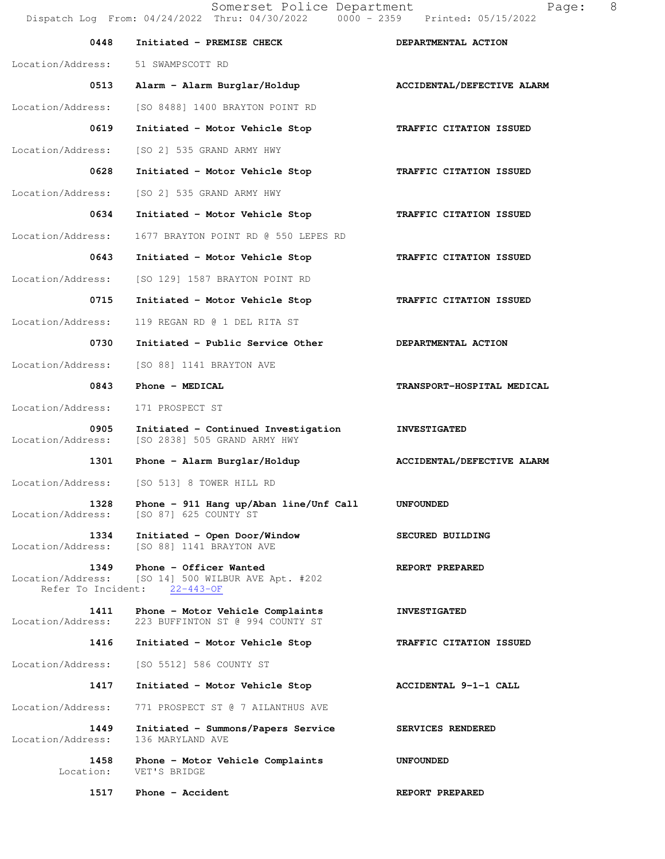| 0448                                            | Initiated - PREMISE CHECK                                               | DEPARTMENTAL ACTION        |
|-------------------------------------------------|-------------------------------------------------------------------------|----------------------------|
| Location/Address:                               | 51 SWAMPSCOTT RD                                                        |                            |
| 0513                                            | Alarm - Alarm Burglar/Holdup                                            | ACCIDENTAL/DEFECTIVE ALARM |
| Location/Address:                               | [SO 8488] 1400 BRAYTON POINT RD                                         |                            |
| 0619                                            | Initiated - Motor Vehicle Stop                                          | TRAFFIC CITATION ISSUED    |
| Location/Address:                               | [SO 2] 535 GRAND ARMY HWY                                               |                            |
| 0628                                            | Initiated - Motor Vehicle Stop                                          | TRAFFIC CITATION ISSUED    |
| Location/Address:                               | [SO 2] 535 GRAND ARMY HWY                                               |                            |
| 0634                                            | Initiated - Motor Vehicle Stop                                          | TRAFFIC CITATION ISSUED    |
| Location/Address:                               | 1677 BRAYTON POINT RD @ 550 LEPES RD                                    |                            |
| 0643                                            | Initiated - Motor Vehicle Stop                                          | TRAFFIC CITATION ISSUED    |
| Location/Address:                               | [SO 129] 1587 BRAYTON POINT RD                                          |                            |
| 0715                                            | Initiated - Motor Vehicle Stop                                          | TRAFFIC CITATION ISSUED    |
| Location/Address:                               | 119 REGAN RD @ 1 DEL RITA ST                                            |                            |
| 0730                                            | Initiated - Public Service Other                                        | DEPARTMENTAL ACTION        |
| Location/Address:                               | [SO 88] 1141 BRAYTON AVE                                                |                            |
| 0843                                            | Phone - MEDICAL                                                         | TRANSPORT-HOSPITAL MEDICAL |
| Location/Address:                               | 171 PROSPECT ST                                                         |                            |
| 0905<br>Location/Address:                       | Initiated - Continued Investigation<br>[SO 2838] 505 GRAND ARMY HWY     | <b>INVESTIGATED</b>        |
| 1301                                            | Phone - Alarm Burglar/Holdup                                            | ACCIDENTAL/DEFECTIVE ALARM |
| Location/Address:                               | [SO 513] 8 TOWER HILL RD                                                |                            |
| 1328<br>Location/Address:                       | Phone - 911 Hang up/Aban line/Unf Call<br>[SO 87] 625 COUNTY ST         | <b>UNFOUNDED</b>           |
| 1334<br>Location/Address:                       | Initiated - Open Door/Window<br>[SO 88] 1141 BRAYTON AVE                | SECURED BUILDING           |
| 1349<br>Location/Address:<br>Refer To Incident: | Phone - Officer Wanted<br>[SO 14] 500 WILBUR AVE Apt. #202<br>22-443-OF | REPORT PREPARED            |
| 1411<br>Location/Address:                       | Phone - Motor Vehicle Complaints<br>223 BUFFINTON ST @ 994 COUNTY ST    | <b>INVESTIGATED</b>        |
| 1416                                            | Initiated - Motor Vehicle Stop                                          | TRAFFIC CITATION ISSUED    |
| Location/Address:                               | [SO 5512] 586 COUNTY ST                                                 |                            |
| 1417                                            | Initiated - Motor Vehicle Stop                                          | ACCIDENTAL 9-1-1 CALL      |
| Location/Address:                               | 771 PROSPECT ST @ 7 AILANTHUS AVE                                       |                            |

 **1449 Initiated - Summons/Papers Service SERVICES RENDERED** 

**1517** Phone - Accident **REPORT PREPARED** 

 **1458 Phone - Motor Vehicle Complaints UNFOUNDED** 

Location/Address: 136 MARYLAND AVE

Location: VET'S BRIDGE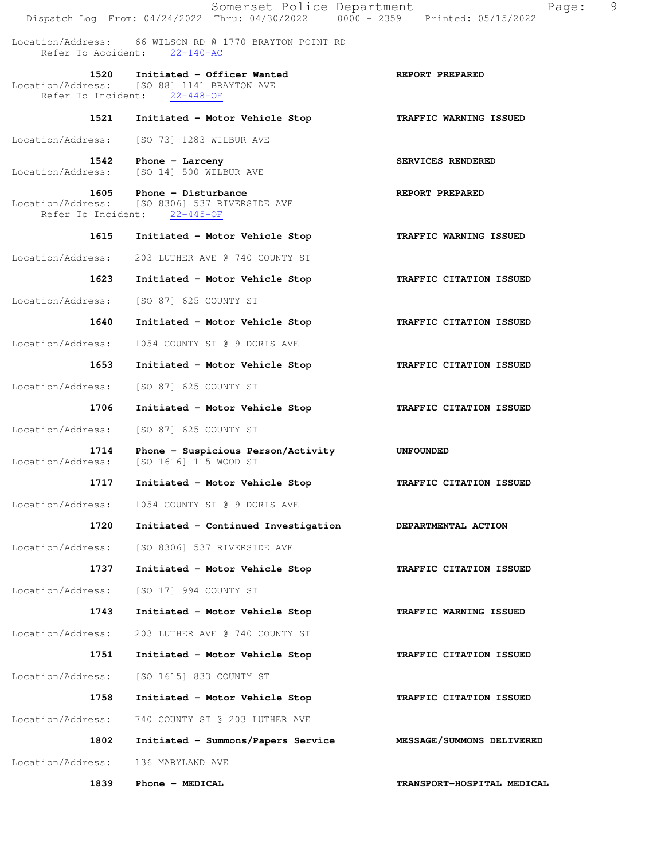Somerset Police Department Page: 9 Dispatch Log From: 04/24/2022 Thru: 04/30/2022 0000 - 2359 Printed: 05/15/2022 Location/Address: 66 WILSON RD @ 1770 BRAYTON POINT RD Refer To Accident: 22-140-AC  **1520 Initiated - Officer Wanted REPORT PREPARED**  Location/Address: [SO 88] 1141 BRAYTON AVE Refer To Incident: 22-448-OF  **1521 Initiated - Motor Vehicle Stop TRAFFIC WARNING ISSUED**  Location/Address: [SO 73] 1283 WILBUR AVE 1542 Phone - Larceny **SERVICES RENDERED**  Location/Address: [SO 14] 500 WILBUR AVE 1605 Phone - Disturbance **REPORT PREPARED** Location/Address: [SO 8306] 537 RIVERSIDE AVE Refer To Incident: 22-445-OF  **1615 Initiated - Motor Vehicle Stop TRAFFIC WARNING ISSUED**  Location/Address: 203 LUTHER AVE @ 740 COUNTY ST  **1623 Initiated - Motor Vehicle Stop TRAFFIC CITATION ISSUED**  Location/Address: [SO 87] 625 COUNTY ST  **1640 Initiated - Motor Vehicle Stop TRAFFIC CITATION ISSUED**  Location/Address: 1054 COUNTY ST @ 9 DORIS AVE  **1653 Initiated - Motor Vehicle Stop TRAFFIC CITATION ISSUED**  Location/Address: [SO 87] 625 COUNTY ST  **1706 Initiated - Motor Vehicle Stop TRAFFIC CITATION ISSUED**  Location/Address: [SO 87] 625 COUNTY ST  **1714 Phone - Suspicious Person/Activity UNFOUNDED**  Location/Address: [SO 1616] 115 WOOD ST  **1717 Initiated - Motor Vehicle Stop TRAFFIC CITATION ISSUED**  Location/Address: 1054 COUNTY ST @ 9 DORIS AVE  **1720 Initiated - Continued Investigation DEPARTMENTAL ACTION**  Location/Address: [SO 8306] 537 RIVERSIDE AVE  **1737 Initiated - Motor Vehicle Stop TRAFFIC CITATION ISSUED**  Location/Address: [SO 17] 994 COUNTY ST  **1743 Initiated - Motor Vehicle Stop TRAFFIC WARNING ISSUED**  Location/Address: 203 LUTHER AVE @ 740 COUNTY ST  **1751 Initiated - Motor Vehicle Stop TRAFFIC CITATION ISSUED**  Location/Address: [SO 1615] 833 COUNTY ST  **1758 Initiated - Motor Vehicle Stop TRAFFIC CITATION ISSUED**  Location/Address: 740 COUNTY ST @ 203 LUTHER AVE  **1802 Initiated - Summons/Papers Service MESSAGE/SUMMONS DELIVERED**  Location/Address: 136 MARYLAND AVE  **1839 Phone - MEDICAL TRANSPORT-HOSPITAL MEDICAL**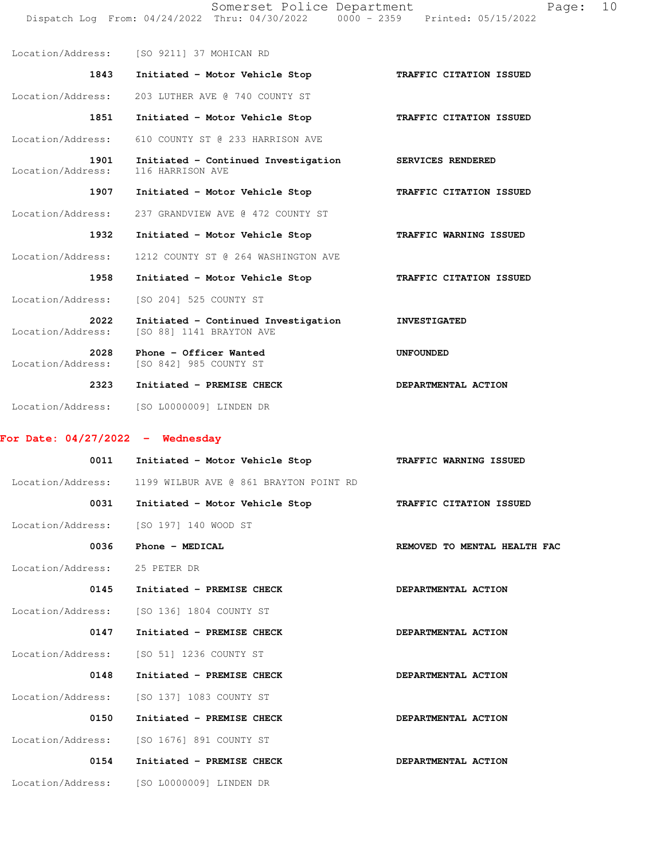Somerset Police Department Page: 10 Dispatch Log From: 04/24/2022 Thru: 04/30/2022 0000 - 2359 Printed: 05/15/2022

 Location/Address: [SO 9211] 37 MOHICAN RD  **1843 Initiated - Motor Vehicle Stop TRAFFIC CITATION ISSUED**  Location/Address: 203 LUTHER AVE @ 740 COUNTY ST  **1851 Initiated - Motor Vehicle Stop TRAFFIC CITATION ISSUED**  Location/Address: 610 COUNTY ST @ 233 HARRISON AVE  **1901 Initiated - Continued Investigation SERVICES RENDERED**  Location/Address: 116 HARRISON AVE  **1907 Initiated - Motor Vehicle Stop TRAFFIC CITATION ISSUED**  Location/Address: 237 GRANDVIEW AVE @ 472 COUNTY ST  **1932 Initiated - Motor Vehicle Stop TRAFFIC WARNING ISSUED**  Location/Address: 1212 COUNTY ST @ 264 WASHINGTON AVE  **1958 Initiated - Motor Vehicle Stop TRAFFIC CITATION ISSUED**  Location/Address: [SO 204] 525 COUNTY ST  **2022 Initiated - Continued Investigation INVESTIGATED**  Location/Address: [SO 88] 1141 BRAYTON AVE  **2028 Phone - Officer Wanted UNFOUNDED**  Location/Address: [SO 842] 985 COUNTY ST  **2323 Initiated - PREMISE CHECK DEPARTMENTAL ACTION** 

Location/Address: [SO L0000009] LINDEN DR

## **For Date: 04/27/2022 - Wednesday**

| Initiated - Motor Vehicle Stop            | TRAFFIC WARNING ISSUED       |
|-------------------------------------------|------------------------------|
| 1199 WILBUR AVE @ 861 BRAYTON POINT RD    |                              |
| Initiated - Motor Vehicle Stop            | TRAFFIC CITATION ISSUED      |
| [SO 197] 140 WOOD ST                      |                              |
| Phone - MEDICAL                           | REMOVED TO MENTAL HEALTH FAC |
| 25 PETER DR                               |                              |
| Initiated - PREMISE CHECK                 | DEPARTMENTAL ACTION          |
| [SO 136] 1804 COUNTY ST                   |                              |
| Initiated - PREMISE CHECK                 | DEPARTMENTAL ACTION          |
| [SO 51] 1236 COUNTY ST                    |                              |
| Initiated - PREMISE CHECK                 | DEPARTMENTAL ACTION          |
| Location/Address: [SO 137] 1083 COUNTY ST |                              |
| Initiated - PREMISE CHECK                 | DEPARTMENTAL ACTION          |
| [SO 1676] 891 COUNTY ST                   |                              |
| Initiated - PREMISE CHECK                 | DEPARTMENTAL ACTION          |
| Location/Address: [SO L0000009] LINDEN DR |                              |
|                                           |                              |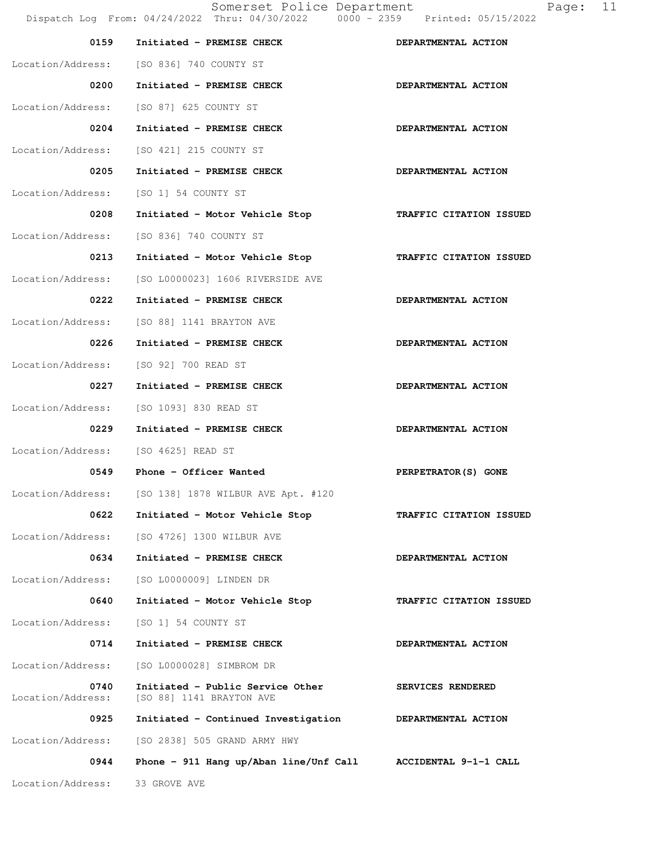Somerset Police Department Page: 11 Dispatch Log From: 04/24/2022 Thru: 04/30/2022 0000 - 2359 Printed: 05/15/2022 0159 Initiated - PREMISE CHECK **DEPARTMENTAL ACTION**  Location/Address: [SO 836] 740 COUNTY ST 0200 Initiated - PREMISE CHECK **DEPARTMENTAL ACTION** Location/Address: [SO 87] 625 COUNTY ST 0204 Initiated - PREMISE CHECK **DEPARTMENTAL ACTION**  Location/Address: [SO 421] 215 COUNTY ST 0205 Initiated - PREMISE CHECK **DEPARTMENTAL ACTION** Location/Address: [SO 1] 54 COUNTY ST  **0208 Initiated - Motor Vehicle Stop TRAFFIC CITATION ISSUED**  Location/Address: [SO 836] 740 COUNTY ST  **0213 Initiated - Motor Vehicle Stop TRAFFIC CITATION ISSUED**  Location/Address: [SO L0000023] 1606 RIVERSIDE AVE 0222 Initiated - PREMISE CHECK **DEPARTMENTAL ACTION**  Location/Address: [SO 88] 1141 BRAYTON AVE 0226 Initiated - PREMISE CHECK **DEPARTMENTAL ACTION**  Location/Address: [SO 92] 700 READ ST 0227 Initiated - PREMISE CHECK **DEPARTMENTAL ACTION** Location/Address: [SO 1093] 830 READ ST 0229 Initiated - PREMISE CHECK **DEPARTMENTAL ACTION** Location/Address: [SO 4625] READ ST  **0549 Phone - Officer Wanted PERPETRATOR(S) GONE**  Location/Address: [SO 138] 1878 WILBUR AVE Apt. #120  **0622 Initiated - Motor Vehicle Stop TRAFFIC CITATION ISSUED**  Location/Address: [SO 4726] 1300 WILBUR AVE 0634 Initiated - PREMISE CHECK **DEPARTMENTAL ACTION**  Location/Address: [SO L0000009] LINDEN DR  **0640 Initiated - Motor Vehicle Stop TRAFFIC CITATION ISSUED**  Location/Address: [SO 1] 54 COUNTY ST 0714 Initiated - PREMISE CHECK **DEPARTMENTAL ACTION**  Location/Address: [SO L0000028] SIMBROM DR **0740** Initiated - Public Service Other SERVICES RENDERED Location/Address: [SO 88] 1141 BRAYTON AVE [SO 88] 1141 BRAYTON AVE  **0925 Initiated - Continued Investigation DEPARTMENTAL ACTION**  Location/Address: [SO 2838] 505 GRAND ARMY HWY  **0944 Phone - 911 Hang up/Aban line/Unf Call ACCIDENTAL 9-1-1 CALL**  Location/Address: 33 GROVE AVE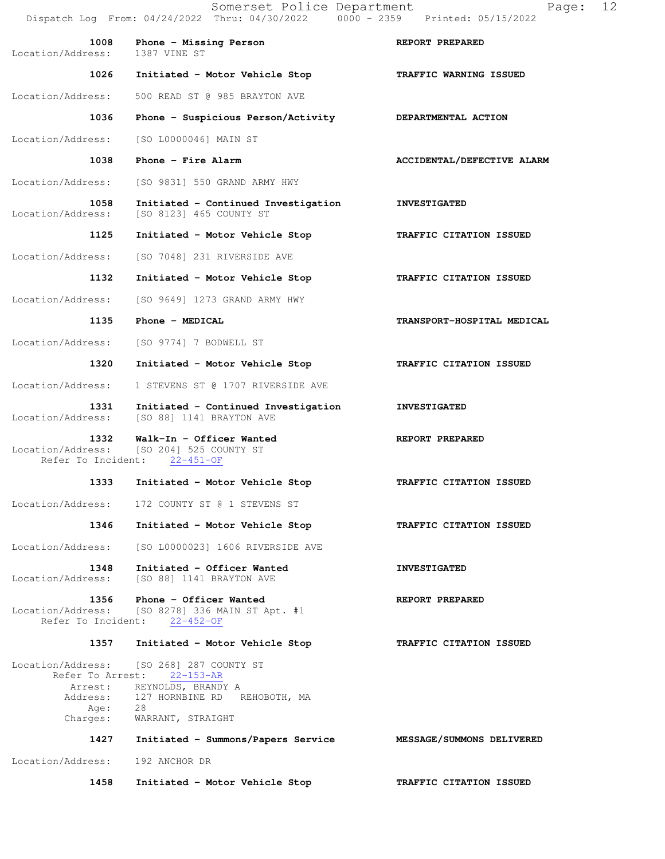|                                                 | Somerset Police Department<br>Dispatch Log From: 04/24/2022 Thru: 04/30/2022 0000 - 2359 Printed: 05/15/2022 | 12<br>Page:                |
|-------------------------------------------------|--------------------------------------------------------------------------------------------------------------|----------------------------|
| 1008<br>Location/Address:                       | Phone - Missing Person<br>1387 VINE ST                                                                       | REPORT PREPARED            |
| 1026                                            | Initiated - Motor Vehicle Stop                                                                               | TRAFFIC WARNING ISSUED     |
| Location/Address:                               | 500 READ ST @ 985 BRAYTON AVE                                                                                |                            |
| 1036                                            | Phone - Suspicious Person/Activity                                                                           | DEPARTMENTAL ACTION        |
| Location/Address:                               | [SO L0000046] MAIN ST                                                                                        |                            |
| 1038                                            | Phone - Fire Alarm                                                                                           | ACCIDENTAL/DEFECTIVE ALARM |
| Location/Address:                               | [SO 9831] 550 GRAND ARMY HWY                                                                                 |                            |
| 1058<br>Location/Address:                       | Initiated - Continued Investigation<br>[SO 8123] 465 COUNTY ST                                               | <b>INVESTIGATED</b>        |
| 1125                                            | Initiated - Motor Vehicle Stop                                                                               | TRAFFIC CITATION ISSUED    |
| Location/Address:                               | [SO 7048] 231 RIVERSIDE AVE                                                                                  |                            |
| 1132                                            | Initiated - Motor Vehicle Stop                                                                               | TRAFFIC CITATION ISSUED    |
| Location/Address:                               | [SO 9649] 1273 GRAND ARMY HWY                                                                                |                            |
| 1135                                            | Phone - MEDICAL                                                                                              | TRANSPORT-HOSPITAL MEDICAL |
| Location/Address:                               | [SO 9774] 7 BODWELL ST                                                                                       |                            |
| 1320                                            | Initiated - Motor Vehicle Stop                                                                               | TRAFFIC CITATION ISSUED    |
| Location/Address:                               | 1 STEVENS ST @ 1707 RIVERSIDE AVE                                                                            |                            |
| 1331<br>Location/Address:                       | Initiated - Continued Investigation<br>[SO 88] 1141 BRAYTON AVE                                              | <b>INVESTIGATED</b>        |
| 1332<br>Refer To Incident:                      | Walk-In - Officer Wanted<br>Location/Address: [SO 204] 525 COUNTY ST<br>$22 - 451 - OF$                      | REPORT PREPARED            |
| 1333                                            | Initiated - Motor Vehicle Stop                                                                               | TRAFFIC CITATION ISSUED    |
| Location/Address:                               | 172 COUNTY ST @ 1 STEVENS ST                                                                                 |                            |
| 1346                                            | Initiated - Motor Vehicle Stop                                                                               | TRAFFIC CITATION ISSUED    |
| Location/Address:                               | [SO L0000023] 1606 RIVERSIDE AVE                                                                             |                            |
| 1348<br>Location/Address:                       | Initiated - Officer Wanted<br>[SO 88] 1141 BRAYTON AVE                                                       | <b>INVESTIGATED</b>        |
| 1356<br>Location/Address:<br>Refer To Incident: | Phone - Officer Wanted<br>[SO 8278] 336 MAIN ST Apt. #1<br>$22 - 452 - 0F$                                   | REPORT PREPARED            |
| 1357                                            | Initiated - Motor Vehicle Stop                                                                               | TRAFFIC CITATION ISSUED    |
| Location/Address:<br>Refer To Arrest:           | [SO 268] 287 COUNTY ST<br>$22 - 153 - AR$                                                                    |                            |
| Arrest:<br>Address:                             | REYNOLDS, BRANDY A<br>127 HORNBINE RD REHOBOTH, MA                                                           |                            |
| Age:<br>Charges:                                | 28<br>WARRANT, STRAIGHT                                                                                      |                            |
| 1427                                            | Initiated - Summons/Papers Service MESSAGE/SUMMONS DELIVERED                                                 |                            |
| Location/Address:                               | 192 ANCHOR DR                                                                                                |                            |
| 1458                                            | Initiated - Motor Vehicle Stop                                                                               | TRAFFIC CITATION ISSUED    |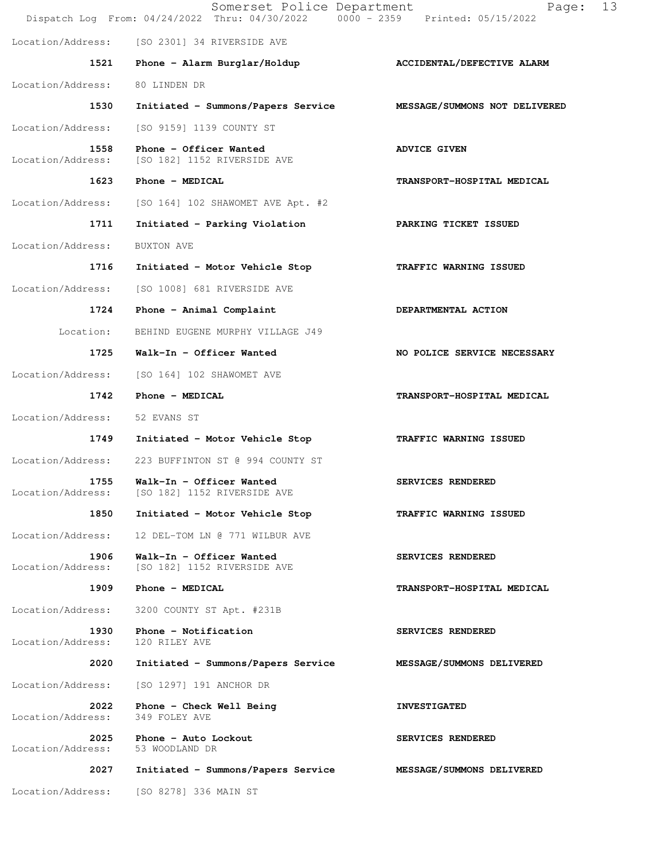|                           | Somerset Police Department<br>Dispatch Log From: 04/24/2022 Thru: 04/30/2022 0000 - 2359 Printed: 05/15/2022 | 13<br>Page:                 |
|---------------------------|--------------------------------------------------------------------------------------------------------------|-----------------------------|
|                           | Location/Address: [SO 2301] 34 RIVERSIDE AVE                                                                 |                             |
| 1521                      | Phone - Alarm Burglar/Holdup                                                                                 | ACCIDENTAL/DEFECTIVE ALARM  |
| Location/Address:         | 80 LINDEN DR                                                                                                 |                             |
| 1530                      | Initiated - Summons/Papers Service MESSAGE/SUMMONS NOT DELIVERED                                             |                             |
| Location/Address:         | [SO 9159] 1139 COUNTY ST                                                                                     |                             |
| 1558<br>Location/Address: | Phone - Officer Wanted<br>[SO 182] 1152 RIVERSIDE AVE                                                        | <b>ADVICE GIVEN</b>         |
| 1623                      | Phone - MEDICAL                                                                                              | TRANSPORT-HOSPITAL MEDICAL  |
| Location/Address:         | [SO 164] 102 SHAWOMET AVE Apt. #2                                                                            |                             |
| 1711                      | Initiated - Parking Violation                                                                                | PARKING TICKET ISSUED       |
| Location/Address:         | BUXTON AVE                                                                                                   |                             |
| 1716                      | Initiated - Motor Vehicle Stop                                                                               | TRAFFIC WARNING ISSUED      |
| Location/Address:         | [SO 1008] 681 RIVERSIDE AVE                                                                                  |                             |
| 1724                      | Phone - Animal Complaint                                                                                     | DEPARTMENTAL ACTION         |
| Location:                 | BEHIND EUGENE MURPHY VILLAGE J49                                                                             |                             |
| 1725                      | Walk-In - Officer Wanted                                                                                     | NO POLICE SERVICE NECESSARY |
| Location/Address:         | [SO 164] 102 SHAWOMET AVE                                                                                    |                             |
| 1742                      | Phone - MEDICAL                                                                                              | TRANSPORT-HOSPITAL MEDICAL  |
| Location/Address:         | 52 EVANS ST                                                                                                  |                             |
| 1749                      | Initiated - Motor Vehicle Stop                                                                               | TRAFFIC WARNING ISSUED      |
| Location/Address:         | 223 BUFFINTON ST @ 994 COUNTY ST                                                                             |                             |
| 1755<br>Location/Address: | Walk-In - Officer Wanted<br>[SO 182] 1152 RIVERSIDE AVE                                                      | SERVICES RENDERED           |
| 1850                      | Initiated - Motor Vehicle Stop                                                                               | TRAFFIC WARNING ISSUED      |
| Location/Address:         | 12 DEL-TOM LN @ 771 WILBUR AVE                                                                               |                             |
| 1906<br>Location/Address: | Walk-In - Officer Wanted<br>[SO 182] 1152 RIVERSIDE AVE                                                      | SERVICES RENDERED           |
| 1909                      | Phone - MEDICAL                                                                                              | TRANSPORT-HOSPITAL MEDICAL  |
| Location/Address:         | 3200 COUNTY ST Apt. #231B                                                                                    |                             |
| 1930<br>Location/Address: | Phone - Notification<br>120 RILEY AVE                                                                        | SERVICES RENDERED           |
| 2020                      | Initiated - Summons/Papers Service                                                                           | MESSAGE/SUMMONS DELIVERED   |
| Location/Address:         | [SO 1297] 191 ANCHOR DR                                                                                      |                             |
| 2022<br>Location/Address: | Phone - Check Well Being<br>349 FOLEY AVE                                                                    | <b>INVESTIGATED</b>         |
| 2025<br>Location/Address: | Phone - Auto Lockout<br>53 WOODLAND DR                                                                       | SERVICES RENDERED           |
| 2027                      | Initiated - Summons/Papers Service                                                                           | MESSAGE/SUMMONS DELIVERED   |
| Location/Address:         | [SO 8278] 336 MAIN ST                                                                                        |                             |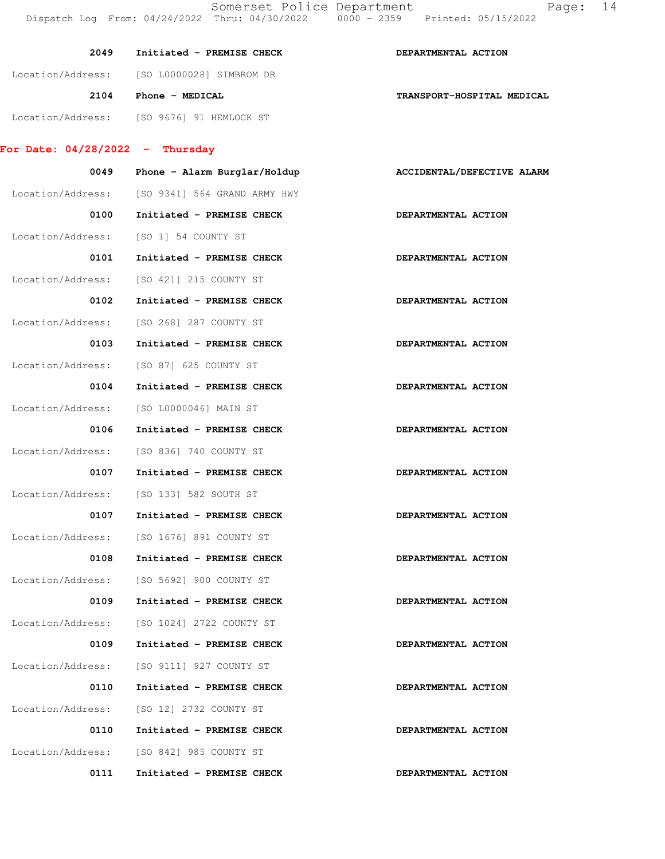| 2049                              | Initiated - PREMISE CHECK    | DEPARTMENTAL ACTION        |
|-----------------------------------|------------------------------|----------------------------|
| Location/Address:                 | [SO L0000028] SIMBROM DR     |                            |
| 2104                              | Phone - MEDICAL              | TRANSPORT-HOSPITAL MEDICAL |
| Location/Address:                 | ISO 96761 91 HEMLOCK ST      |                            |
| For Date: $04/28/2022 -$ Thursday |                              |                            |
| 0049                              | Phone - Alarm Burglar/Holdup | ACCIDENTAL/DEFECTIVE ALARM |
| Location/Address:                 | [SO 9341] 564 GRAND ARMY HWY |                            |
| 0100                              | Initiated - PREMISE CHECK    | DEPARTMENTAL ACTION        |

Location/Address: [SO 1] 54 COUNTY ST

- 0101 Initiated PREMISE CHECK **DEPARTMENTAL ACTION**  Location/Address: [SO 421] 215 COUNTY ST 0102 Initiated - PREMISE CHECK **DEPARTMENTAL ACTION**
- Location/Address: [SO 268] 287 COUNTY ST
- 0103 Initiated PREMISE CHECK **DEPARTMENTAL ACTION** Location/Address: [SO 87] 625 COUNTY ST
- 0104 Initiated PREMISE CHECK **DEPARTMENTAL ACTION** Location/Address: [SO L0000046] MAIN ST
- 0106 Initiated PREMISE CHECK **DEPARTMENTAL ACTION** Location/Address: [SO 836] 740 COUNTY ST
- 0107 Initiated PREMISE CHECK **DEPARTMENTAL ACTION** Location/Address: [SO 133] 582 SOUTH ST
- 0107 Initiated PREMISE CHECK **DEPARTMENTAL ACTION** Location/Address: [SO 1676] 891 COUNTY ST
- 0108 Initiated PREMISE CHECK **DEPARTMENTAL ACTION** Location/Address: [SO 5692] 900 COUNTY ST
- 0109 Initiated PREMISE CHECK **DEPARTMENTAL ACTION** Location/Address: [SO 1024] 2722 COUNTY ST
- 0109 Initiated PREMISE CHECK **DEPARTMENTAL ACTION**  Location/Address: [SO 9111] 927 COUNTY ST 0110 Initiated - PREMISE CHECK **DEPARTMENTAL ACTION** Location/Address: [SO 12] 2732 COUNTY ST
- 0110 Initiated PREMISE CHECK **DEPARTMENTAL ACTION**  Location/Address: [SO 842] 985 COUNTY ST
	- 0111 Initiated PREMISE CHECK **DEPARTMENTAL ACTION**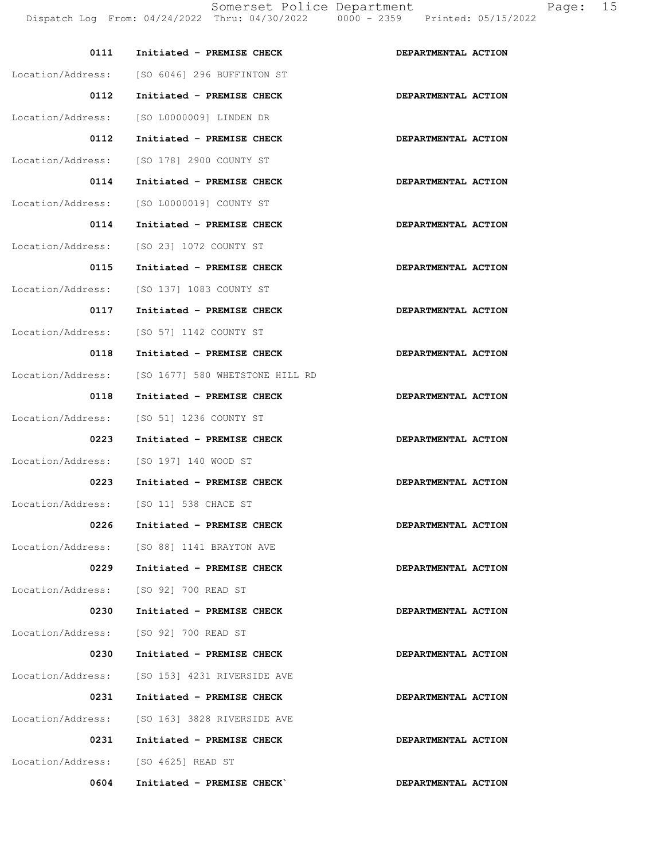| 05/15/2022 | $    -$ |  |
|------------|---------|--|
|            |         |  |

| 0111                                | Initiated - PREMISE CHECK                     | DEPARTMENTAL ACTION |
|-------------------------------------|-----------------------------------------------|---------------------|
|                                     | Location/Address: [SO 6046] 296 BUFFINTON ST  |                     |
| 0112                                | Initiated - PREMISE CHECK                     | DEPARTMENTAL ACTION |
| Location/Address:                   | [SO L0000009] LINDEN DR                       |                     |
| 0112                                | Initiated - PREMISE CHECK                     | DEPARTMENTAL ACTION |
|                                     | Location/Address: [SO 178] 2900 COUNTY ST     |                     |
| 0114                                | Initiated - PREMISE CHECK                     | DEPARTMENTAL ACTION |
|                                     | Location/Address: [SO L0000019] COUNTY ST     |                     |
| 0114                                | Initiated - PREMISE CHECK                     | DEPARTMENTAL ACTION |
| Location/Address:                   | [SO 23] 1072 COUNTY ST                        |                     |
| 0115                                | Initiated - PREMISE CHECK                     | DEPARTMENTAL ACTION |
| Location/Address:                   | [SO 137] 1083 COUNTY ST                       |                     |
| 0117                                | Initiated - PREMISE CHECK                     | DEPARTMENTAL ACTION |
| Location/Address:                   | [SO 57] 1142 COUNTY ST                        |                     |
| 0118                                | Initiated - PREMISE CHECK                     | DEPARTMENTAL ACTION |
| Location/Address:                   | [SO 1677] 580 WHETSTONE HILL RD               |                     |
| 0118                                | Initiated - PREMISE CHECK                     | DEPARTMENTAL ACTION |
| Location/Address:                   | [SO 51] 1236 COUNTY ST                        |                     |
| 0223                                | Initiated - PREMISE CHECK                     | DEPARTMENTAL ACTION |
| Location/Address:                   | [SO 197] 140 WOOD ST                          |                     |
| 0223                                | Initiated - PREMISE CHECK                     | DEPARTMENTAL ACTION |
|                                     | Location/Address: [SO 11] 538 CHACE ST        |                     |
| 0226                                | Initiated - PREMISE CHECK                     | DEPARTMENTAL ACTION |
|                                     | Location/Address: [SO 88] 1141 BRAYTON AVE    |                     |
| 0229                                | Initiated - PREMISE CHECK                     | DEPARTMENTAL ACTION |
|                                     | Location/Address: [SO 92] 700 READ ST         |                     |
| 0230                                | Initiated - PREMISE CHECK                     | DEPARTMENTAL ACTION |
|                                     | Location/Address: [SO 92] 700 READ ST         |                     |
| 0230                                | Initiated - PREMISE CHECK                     | DEPARTMENTAL ACTION |
|                                     | Location/Address: [SO 153] 4231 RIVERSIDE AVE |                     |
| 0231                                | Initiated - PREMISE CHECK                     | DEPARTMENTAL ACTION |
|                                     | Location/Address: [SO 163] 3828 RIVERSIDE AVE |                     |
| 0231                                | Initiated - PREMISE CHECK                     | DEPARTMENTAL ACTION |
| Location/Address: [SO 4625] READ ST |                                               |                     |
| 0604                                | Initiated - PREMISE CHECK                     | DEPARTMENTAL ACTION |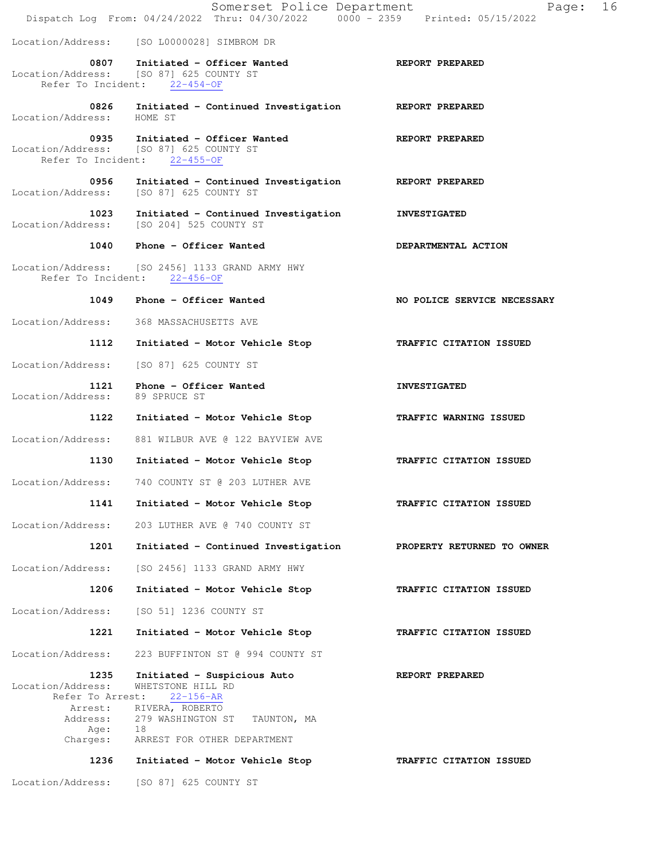|                                               | Somerset Police Department<br>Dispatch Log From: 04/24/2022 Thru: 04/30/2022 0000 - 2359 Printed: 05/15/2022 | 16<br>Page:                 |
|-----------------------------------------------|--------------------------------------------------------------------------------------------------------------|-----------------------------|
|                                               | Location/Address: [SO L0000028] SIMBROM DR                                                                   |                             |
|                                               | 0807 Initiated - Officer Wanted<br>Location/Address: [SO 87] 625 COUNTY ST<br>Refer To Incident: 22-454-OF   | <b>REPORT PREPARED</b>      |
| Location/Address:                             | 0826 Initiated - Continued Investigation<br>HOME ST                                                          | REPORT PREPARED             |
| 0935                                          | Initiated - Officer Wanted<br>Location/Address: [SO 87] 625 COUNTY ST<br>Refer To Incident: 22-455-OF        | REPORT PREPARED             |
| 0956                                          | Initiated - Continued Investigation<br>Location/Address: [SO 87] 625 COUNTY ST                               | REPORT PREPARED             |
| 1023                                          | Initiated - Continued Investigation<br>Location/Address: [SO 204] 525 COUNTY ST                              | <b>INVESTIGATED</b>         |
|                                               | 1040 Phone - Officer Wanted                                                                                  | DEPARTMENTAL ACTION         |
|                                               | Location/Address: [SO 2456] 1133 GRAND ARMY HWY<br>Refer To Incident: 22-456-OF                              |                             |
| 1049                                          | Phone - Officer Wanted                                                                                       | NO POLICE SERVICE NECESSARY |
| Location/Address:                             | 368 MASSACHUSETTS AVE                                                                                        |                             |
| 1112                                          | Initiated - Motor Vehicle Stop                                                                               | TRAFFIC CITATION ISSUED     |
| Location/Address:                             | [SO 87] 625 COUNTY ST                                                                                        |                             |
| Location/Address: 89 SPRUCE ST                | 1121 Phone - Officer Wanted                                                                                  | <b>INVESTIGATED</b>         |
| 1122                                          | Initiated - Motor Vehicle Stop                                                                               | TRAFFIC WARNING ISSUED      |
| Location/Address:                             | 881 WILBUR AVE @ 122 BAYVIEW AVE                                                                             |                             |
| 1130                                          | Initiated - Motor Vehicle Stop                                                                               | TRAFFIC CITATION ISSUED     |
| Location/Address:                             | 740 COUNTY ST @ 203 LUTHER AVE                                                                               |                             |
| 1141                                          | Initiated - Motor Vehicle Stop                                                                               | TRAFFIC CITATION ISSUED     |
| Location/Address:                             | 203 LUTHER AVE @ 740 COUNTY ST                                                                               |                             |
| 1201                                          | Initiated - Continued Investigation                                                                          | PROPERTY RETURNED TO OWNER  |
| Location/Address:                             | [SO 2456] 1133 GRAND ARMY HWY                                                                                |                             |
| 1206                                          | Initiated - Motor Vehicle Stop                                                                               | TRAFFIC CITATION ISSUED     |
| Location/Address:                             | [SO 51] 1236 COUNTY ST                                                                                       |                             |
| 1221                                          | Initiated - Motor Vehicle Stop                                                                               | TRAFFIC CITATION ISSUED     |
| Location/Address:                             | 223 BUFFINTON ST @ 994 COUNTY ST                                                                             |                             |
| 1235<br>Location/Address:<br>Refer To Arrest: | Initiated - Suspicious Auto<br>WHETSTONE HILL RD<br>22-156-AR                                                | REPORT PREPARED             |
| Arrest:<br>Address:                           | RIVERA, ROBERTO<br>279 WASHINGTON ST TAUNTON, MA                                                             |                             |
| Age:<br>Charges:                              | 18<br>ARREST FOR OTHER DEPARTMENT                                                                            |                             |
| 1236                                          | Initiated - Motor Vehicle Stop                                                                               | TRAFFIC CITATION ISSUED     |
| Location/Address:                             | [SO 87] 625 COUNTY ST                                                                                        |                             |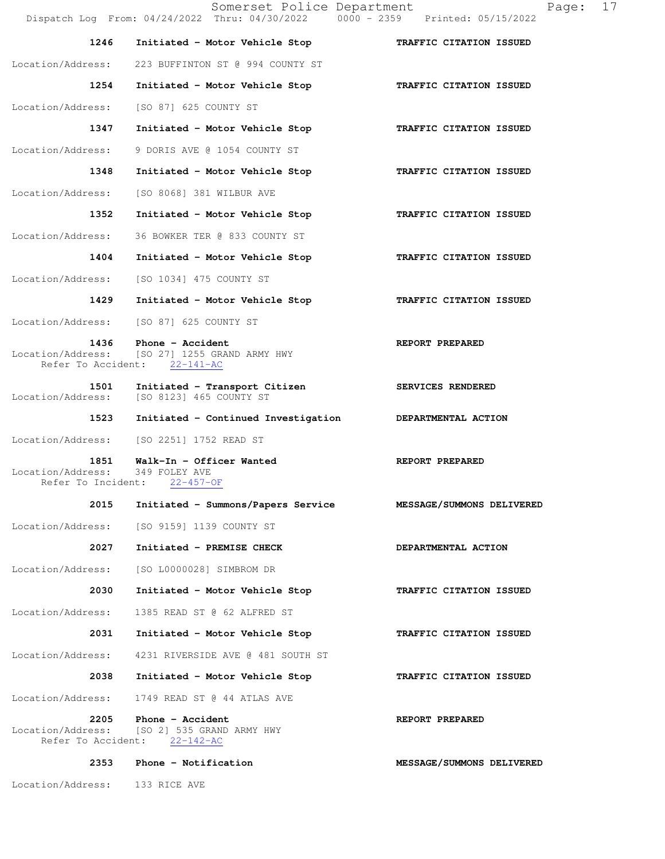Somerset Police Department Page: 17 Dispatch Log From: 04/24/2022 Thru: 04/30/2022 0000 - 2359 Printed: 05/15/2022  **1246 Initiated - Motor Vehicle Stop TRAFFIC CITATION ISSUED**  Location/Address: 223 BUFFINTON ST @ 994 COUNTY ST  **1254 Initiated - Motor Vehicle Stop TRAFFIC CITATION ISSUED**  Location/Address: [SO 87] 625 COUNTY ST  **1347 Initiated - Motor Vehicle Stop TRAFFIC CITATION ISSUED**  Location/Address: 9 DORIS AVE @ 1054 COUNTY ST  **1348 Initiated - Motor Vehicle Stop TRAFFIC CITATION ISSUED**  Location/Address: [SO 8068] 381 WILBUR AVE  **1352 Initiated - Motor Vehicle Stop TRAFFIC CITATION ISSUED**  Location/Address: 36 BOWKER TER @ 833 COUNTY ST  **1404 Initiated - Motor Vehicle Stop TRAFFIC CITATION ISSUED**  Location/Address: [SO 1034] 475 COUNTY ST  **1429 Initiated - Motor Vehicle Stop TRAFFIC CITATION ISSUED**  Location/Address: [SO 87] 625 COUNTY ST **1436** Phone - Accident **REPORT PREPARED**  Location/Address: [SO 27] 1255 GRAND ARMY HWY Refer To Accident: 22-141-AC 1501 Initiated - Transport Citizen **SERVICES RENDERED** Location/Address: [SO 8123] 465 COUNTY ST  **1523 Initiated - Continued Investigation DEPARTMENTAL ACTION**  Location/Address: [SO 2251] 1752 READ ST 1851 Walk-In - Officer Wanted **REPORT PREPARED**  Location/Address: 349 FOLEY AVE Refer To Incident: 22-457-OF  **2015 Initiated - Summons/Papers Service MESSAGE/SUMMONS DELIVERED**  Location/Address: [SO 9159] 1139 COUNTY ST  **2027 Initiated - PREMISE CHECK DEPARTMENTAL ACTION**  Location/Address: [SO L0000028] SIMBROM DR  **2030 Initiated - Motor Vehicle Stop TRAFFIC CITATION ISSUED**  Location/Address: 1385 READ ST @ 62 ALFRED ST  **2031 Initiated - Motor Vehicle Stop TRAFFIC CITATION ISSUED**  Location/Address: 4231 RIVERSIDE AVE @ 481 SOUTH ST  **2038 Initiated - Motor Vehicle Stop TRAFFIC CITATION ISSUED**  Location/Address: 1749 READ ST @ 44 ATLAS AVE  **2205 Phone - Accident REPORT PREPARED**  Location/Address: [SO 2] 535 GRAND ARMY HWY Refer To Accident: 22-142-AC 2353 Phone - Notification **MESSAGE/SUMMONS DELIVERED** Location/Address: 133 RICE AVE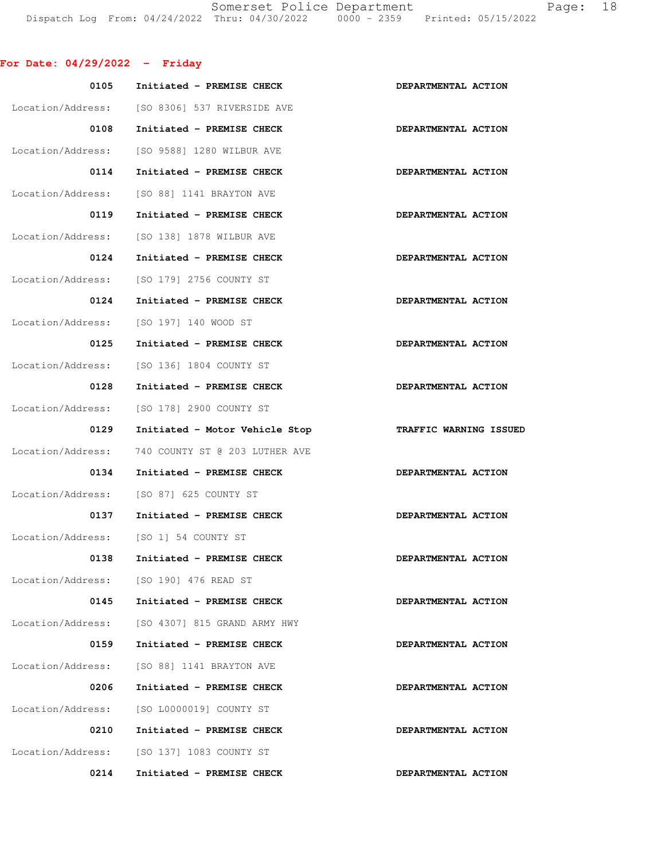Somerset Police Department Page: 18 Dispatch Log From: 04/24/2022 Thru: 04/30/2022 0000 - 2359 Printed: 05/15/2022

## **For Date: 04/29/2022 - Friday**

| 0105              | Initiated - PREMISE CHECK                     | DEPARTMENTAL ACTION    |
|-------------------|-----------------------------------------------|------------------------|
|                   | Location/Address: [SO 8306] 537 RIVERSIDE AVE |                        |
| 0108              | Initiated - PREMISE CHECK                     | DEPARTMENTAL ACTION    |
| Location/Address: | [SO 9588] 1280 WILBUR AVE                     |                        |
| 0114              | Initiated - PREMISE CHECK                     | DEPARTMENTAL ACTION    |
| Location/Address: | [SO 88] 1141 BRAYTON AVE                      |                        |
| 0119              | Initiated - PREMISE CHECK                     | DEPARTMENTAL ACTION    |
| Location/Address: | [SO 138] 1878 WILBUR AVE                      |                        |
| 0124              | Initiated - PREMISE CHECK                     | DEPARTMENTAL ACTION    |
| Location/Address: | [SO 179] 2756 COUNTY ST                       |                        |
| 0124              | Initiated - PREMISE CHECK                     | DEPARTMENTAL ACTION    |
| Location/Address: | [SO 197] 140 WOOD ST                          |                        |
| 0125              | Initiated - PREMISE CHECK                     | DEPARTMENTAL ACTION    |
| Location/Address: | [SO 136] 1804 COUNTY ST                       |                        |
| 0128              | Initiated - PREMISE CHECK                     | DEPARTMENTAL ACTION    |
| Location/Address: | [SO 178] 2900 COUNTY ST                       |                        |
| 0129              | Initiated - Motor Vehicle Stop                | TRAFFIC WARNING ISSUED |
| Location/Address: | 740 COUNTY ST @ 203 LUTHER AVE                |                        |
| 0134              | Initiated - PREMISE CHECK                     | DEPARTMENTAL ACTION    |
|                   | Location/Address: [SO 87] 625 COUNTY ST       |                        |
| 0137              | Initiated - PREMISE CHECK                     | DEPARTMENTAL ACTION    |
|                   | Location/Address: [SO 1] 54 COUNTY ST         |                        |
| 0138              | Initiated - PREMISE CHECK                     | DEPARTMENTAL ACTION    |
|                   | Location/Address: [SO 190] 476 READ ST        |                        |
| 0145              | Initiated - PREMISE CHECK                     | DEPARTMENTAL ACTION    |
| Location/Address: | [SO 4307] 815 GRAND ARMY HWY                  |                        |
| 0159              | Initiated - PREMISE CHECK                     | DEPARTMENTAL ACTION    |
| Location/Address: | [SO 88] 1141 BRAYTON AVE                      |                        |
| 0206              | Initiated - PREMISE CHECK                     | DEPARTMENTAL ACTION    |
| Location/Address: | [SO L0000019] COUNTY ST                       |                        |
| 0210              | Initiated - PREMISE CHECK                     | DEPARTMENTAL ACTION    |
|                   | Location/Address: [SO 137] 1083 COUNTY ST     |                        |
| 0214              | Initiated - PREMISE CHECK                     | DEPARTMENTAL ACTION    |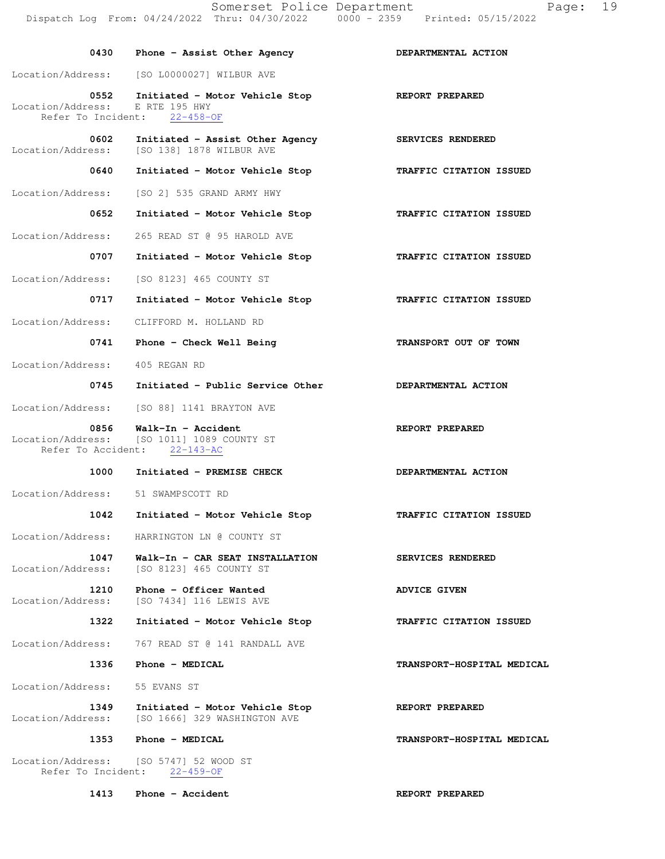Location/Address: E RTE 195 HWY<br>Refer To Incident: 22-458-OF Refer To Incident:  **0602 Initiated - Assist Other Agency SERVICES RENDERED**  Location/Address: [SO 138] 1878 WILBUR AVE  **0640 Initiated - Motor Vehicle Stop TRAFFIC CITATION ISSUED**  Location/Address: [SO 2] 535 GRAND ARMY HWY  **0652 Initiated - Motor Vehicle Stop TRAFFIC CITATION ISSUED**  Location/Address: 265 READ ST @ 95 HAROLD AVE  **0707 Initiated - Motor Vehicle Stop TRAFFIC CITATION ISSUED**  Location/Address: [SO 8123] 465 COUNTY ST  **0717 Initiated - Motor Vehicle Stop TRAFFIC CITATION ISSUED**  Location/Address: CLIFFORD M. HOLLAND RD 0741 Phone - Check Well Being **TRANSPORT OUT OF TOWN**  Location/Address: 405 REGAN RD 0745 Initiated - Public Service Other **DEPARTMENTAL ACTION** Location/Address: [SO 88] 1141 BRAYTON AVE 0856 Walk-In - Accident **REPORT PREPARED** Location/Address: [SO 1011] 1089 COUNTY ST Refer To Accident: 22-143-AC 1000 Initiated - PREMISE CHECK **DEPARTMENTAL ACTION**  Location/Address: 51 SWAMPSCOTT RD  **1042 Initiated - Motor Vehicle Stop TRAFFIC CITATION ISSUED**  Location/Address: HARRINGTON LN @ COUNTY ST  **1047 Walk-In - CAR SEAT INSTALLATION SERVICES RENDERED**  Location/Address: [SO 8123] 465 COUNTY ST 1210 Phone - Officer Wanted **ADVICE GIVEN** Location/Address: [SO 7434] 116 LEWIS AVE  **1322 Initiated - Motor Vehicle Stop TRAFFIC CITATION ISSUED**  Location/Address: 767 READ ST @ 141 RANDALL AVE  **1336 Phone - MEDICAL TRANSPORT-HOSPITAL MEDICAL**  Location/Address: 55 EVANS ST  **1349 Initiated - Motor Vehicle Stop REPORT PREPARED**  Location/Address: [SO 1666] 329 WASHINGTON AVE  **1353 Phone - MEDICAL TRANSPORT-HOSPITAL MEDICAL** 

Location/Address: [SO 5747] 52 WOOD ST<br>Refer To Incident: 22-459-OF Refer To Incident:

Location/Address: [SO L0000027] WILBUR AVE

**1413** Phone - Accident **REPORT PREPARED**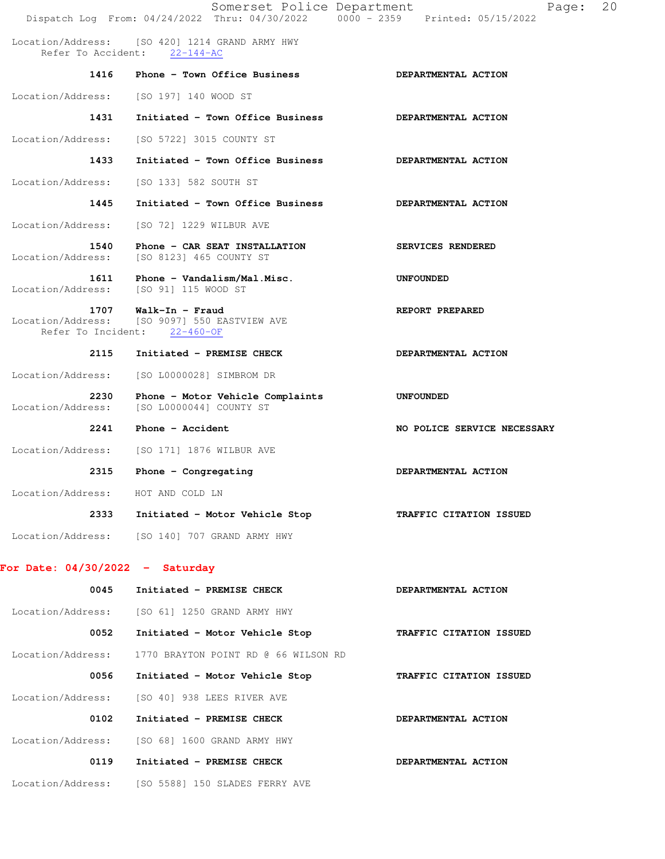|                                               | Somerset Police Department                                                         | Page:<br>Dispatch Log From: 04/24/2022 Thru: 04/30/2022 0000 - 2359 Printed: 05/15/2022 | 20 |
|-----------------------------------------------|------------------------------------------------------------------------------------|-----------------------------------------------------------------------------------------|----|
|                                               | Location/Address: [SO 420] 1214 GRAND ARMY HWY<br>Refer To Accident: 22-144-AC     |                                                                                         |    |
| 1416                                          | Phone - Town Office Business                                                       | DEPARTMENTAL ACTION                                                                     |    |
| Location/Address:                             | [SO 197] 140 WOOD ST                                                               |                                                                                         |    |
| 1431                                          | Initiated - Town Office Business                                                   | DEPARTMENTAL ACTION                                                                     |    |
| Location/Address:                             | [SO 5722] 3015 COUNTY ST                                                           |                                                                                         |    |
| 1433                                          | Initiated - Town Office Business                                                   | DEPARTMENTAL ACTION                                                                     |    |
| Location/Address:                             | [SO 133] 582 SOUTH ST                                                              |                                                                                         |    |
| 1445                                          | Initiated - Town Office Business                                                   | DEPARTMENTAL ACTION                                                                     |    |
| Location/Address:                             | [SO 72] 1229 WILBUR AVE                                                            |                                                                                         |    |
| 1540<br>Location/Address:                     | Phone - CAR SEAT INSTALLATION<br>[SO 8123] 465 COUNTY ST                           | SERVICES RENDERED                                                                       |    |
| 1611<br>Location/Address: [SO 91] 115 WOOD ST | Phone - Vandalism/Mal.Misc.                                                        | <b>UNFOUNDED</b>                                                                        |    |
| 1707<br>Refer To Incident:                    | Walk-In - Fraud<br>Location/Address: [SO 9097] 550 EASTVIEW AVE<br>$22 - 460 - OF$ | REPORT PREPARED                                                                         |    |
| 2115                                          | Initiated - PREMISE CHECK                                                          | DEPARTMENTAL ACTION                                                                     |    |
| Location/Address:                             | [SO L0000028] SIMBROM DR                                                           |                                                                                         |    |
| 2230<br>Location/Address:                     | Phone - Motor Vehicle Complaints<br>[SO L0000044] COUNTY ST                        | <b>UNFOUNDED</b>                                                                        |    |
| 2241                                          | Phone - Accident                                                                   | NO POLICE SERVICE NECESSARY                                                             |    |
| Location/Address:                             | [SO 171] 1876 WILBUR AVE                                                           |                                                                                         |    |
| 2315                                          | Phone $-$ Congregating                                                             | DEPARTMENTAL ACTION                                                                     |    |
| Location/Address: HOT AND COLD LN             |                                                                                    |                                                                                         |    |
|                                               | 2333 Initiated - Motor Vehicle Stop                                                | TRAFFIC CITATION ISSUED                                                                 |    |
|                                               | Location/Address: [SO 140] 707 GRAND ARMY HWY                                      |                                                                                         |    |
| For Date: $04/30/2022 -$ Saturday             |                                                                                    |                                                                                         |    |
| 0045                                          | Initiated - PREMISE CHECK                                                          | DEPARTMENTAL ACTION                                                                     |    |
|                                               | Location/Address: [SO 61] 1250 GRAND ARMY HWY                                      |                                                                                         |    |
| 0052                                          | Initiated - Motor Vehicle Stop                                                     | TRAFFIC CITATION ISSUED                                                                 |    |
| Location/Address:                             | 1770 BRAYTON POINT RD @ 66 WILSON RD                                               |                                                                                         |    |
| 0056                                          | Initiated - Motor Vehicle Stop                                                     | TRAFFIC CITATION ISSUED                                                                 |    |
| Location/Address:                             | [SO 40] 938 LEES RIVER AVE                                                         |                                                                                         |    |
| 0102                                          | Initiated - PREMISE CHECK                                                          | DEPARTMENTAL ACTION                                                                     |    |
|                                               | Location/Address: [SO 68] 1600 GRAND ARMY HWY                                      |                                                                                         |    |
| 0119                                          | Initiated - PREMISE CHECK                                                          | DEPARTMENTAL ACTION                                                                     |    |

Location/Address: [SO 5588] 150 SLADES FERRY AVE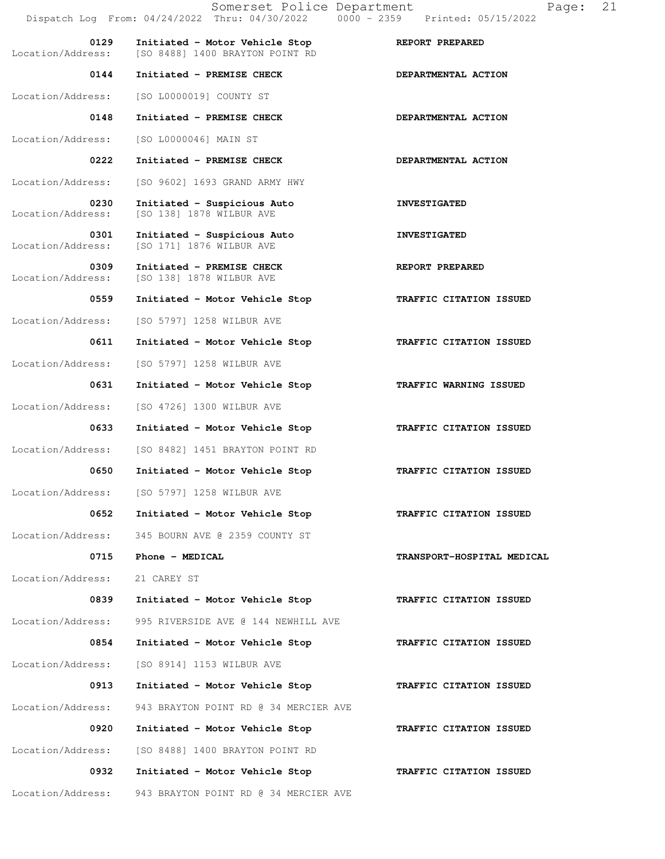|                           | Somerset Police Department<br>Dispatch Log From: 04/24/2022 Thru: 04/30/2022 0000 - 2359 Printed: 05/15/2022 | 21<br>Page:                       |
|---------------------------|--------------------------------------------------------------------------------------------------------------|-----------------------------------|
| 0129<br>Location/Address: | Initiated - Motor Vehicle Stop<br>[SO 8488] 1400 BRAYTON POINT RD                                            | REPORT PREPARED                   |
| 0144                      | Initiated - PREMISE CHECK                                                                                    | DEPARTMENTAL ACTION               |
| Location/Address:         | [SO L0000019] COUNTY ST                                                                                      |                                   |
| 0148                      | Initiated - PREMISE CHECK                                                                                    | DEPARTMENTAL ACTION               |
| Location/Address:         | [SO L0000046] MAIN ST                                                                                        |                                   |
| 0222                      | Initiated - PREMISE CHECK                                                                                    | DEPARTMENTAL ACTION               |
| Location/Address:         | [SO 9602] 1693 GRAND ARMY HWY                                                                                |                                   |
| 0230<br>Location/Address: | Initiated - Suspicious Auto<br>[SO 138] 1878 WILBUR AVE                                                      | <b>INVESTIGATED</b>               |
| 0301<br>Location/Address: | Initiated - Suspicious Auto<br>[SO 171] 1876 WILBUR AVE                                                      | <b>INVESTIGATED</b>               |
| 0309<br>Location/Address: | Initiated - PREMISE CHECK<br>[SO 138] 1878 WILBUR AVE                                                        | REPORT PREPARED                   |
| 0559                      | Initiated - Motor Vehicle Stop                                                                               | TRAFFIC CITATION ISSUED           |
| Location/Address:         | [SO 5797] 1258 WILBUR AVE                                                                                    |                                   |
| 0611                      | Initiated - Motor Vehicle Stop                                                                               | TRAFFIC CITATION ISSUED           |
| Location/Address:         | [SO 5797] 1258 WILBUR AVE                                                                                    |                                   |
| 0631                      | Initiated - Motor Vehicle Stop                                                                               | TRAFFIC WARNING ISSUED            |
| Location/Address:         | [SO 4726] 1300 WILBUR AVE                                                                                    |                                   |
| 0633                      | Initiated - Motor Vehicle Stop                                                                               | TRAFFIC CITATION ISSUED           |
| Location/Address:         | [SO 8482] 1451 BRAYTON POINT RD                                                                              |                                   |
| 0650                      | Initiated - Motor Vehicle Stop                                                                               | TRAFFIC CITATION ISSUED           |
| Location/Address:         | [SO 5797] 1258 WILBUR AVE                                                                                    |                                   |
| 0652                      | Initiated - Motor Vehicle Stop                                                                               | TRAFFIC CITATION ISSUED           |
| Location/Address:         | 345 BOURN AVE @ 2359 COUNTY ST                                                                               |                                   |
| 0715                      | Phone - MEDICAL                                                                                              | <b>TRANSPORT-HOSPITAL MEDICAL</b> |
| Location/Address:         | 21 CAREY ST                                                                                                  |                                   |
| 0839                      | Initiated - Motor Vehicle Stop                                                                               | TRAFFIC CITATION ISSUED           |
| Location/Address:         | 995 RIVERSIDE AVE @ 144 NEWHILL AVE                                                                          |                                   |
| 0854                      | Initiated - Motor Vehicle Stop                                                                               | TRAFFIC CITATION ISSUED           |
| Location/Address:         | [SO 8914] 1153 WILBUR AVE                                                                                    |                                   |
| 0913                      | Initiated - Motor Vehicle Stop                                                                               | TRAFFIC CITATION ISSUED           |
| Location/Address:         | 943 BRAYTON POINT RD @ 34 MERCIER AVE                                                                        |                                   |
| 0920                      | Initiated - Motor Vehicle Stop                                                                               | TRAFFIC CITATION ISSUED           |
| Location/Address:         | [SO 8488] 1400 BRAYTON POINT RD                                                                              |                                   |
| 0932                      | Initiated - Motor Vehicle Stop                                                                               | TRAFFIC CITATION ISSUED           |
| Location/Address:         | 943 BRAYTON POINT RD @ 34 MERCIER AVE                                                                        |                                   |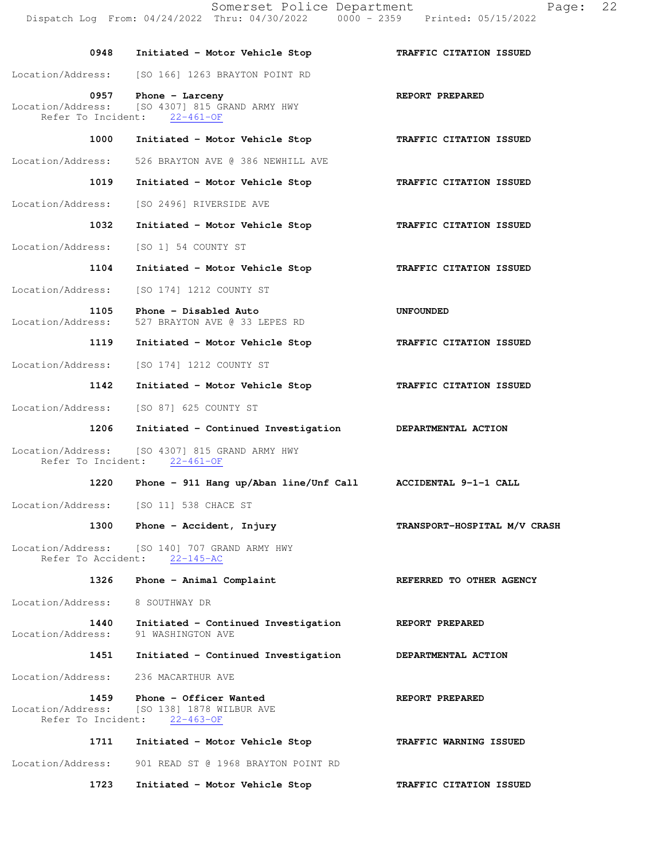|                            | Somerset Police Department<br>Dispatch Log From: 04/24/2022 Thru: 04/30/2022                         | Ρa<br>$0000 - 2359$ Printed: 05/15/2022 |
|----------------------------|------------------------------------------------------------------------------------------------------|-----------------------------------------|
| 0948                       | Initiated - Motor Vehicle Stop                                                                       | TRAFFIC CITATION ISSUED                 |
| Location/Address:          | [SO 166] 1263 BRAYTON POINT RD                                                                       |                                         |
| 0957<br>Refer To Incident: | Phone - Larceny<br>Location/Address: [SO 4307] 815 GRAND ARMY HWY<br>$22 - 461 - OF$                 | REPORT PREPARED                         |
| 1000                       | Initiated - Motor Vehicle Stop                                                                       | TRAFFIC CITATION ISSUED                 |
| Location/Address:          | 526 BRAYTON AVE @ 386 NEWHILL AVE                                                                    |                                         |
| 1019                       | Initiated - Motor Vehicle Stop                                                                       | TRAFFIC CITATION ISSUED                 |
| Location/Address:          | [SO 2496] RIVERSIDE AVE                                                                              |                                         |
| 1032                       | Initiated - Motor Vehicle Stop                                                                       | TRAFFIC CITATION ISSUED                 |
| Location/Address:          | [SO 1] 54 COUNTY ST                                                                                  |                                         |
| 1104                       | Initiated - Motor Vehicle Stop                                                                       | TRAFFIC CITATION ISSUED                 |
| Location/Address:          | [SO 174] 1212 COUNTY ST                                                                              |                                         |
| 1105<br>Location/Address:  | Phone - Disabled Auto<br>527 BRAYTON AVE @ 33 LEPES RD                                               | UNFOUNDED                               |
| 1119                       | Initiated - Motor Vehicle Stop                                                                       | TRAFFIC CITATION ISSUED                 |
| Location/Address:          | [SO 174] 1212 COUNTY ST                                                                              |                                         |
| 1142                       | Initiated - Motor Vehicle Stop                                                                       | TRAFFIC CITATION ISSUED                 |
| Location/Address:          | [SO 87] 625 COUNTY ST                                                                                |                                         |
| 1206                       | Initiated - Continued Investigation                                                                  | DEPARTMENTAL ACTION                     |
|                            | Location/Address: [SO 4307] 815 GRAND ARMY HWY<br>Refer To Incident: 22-461-OF                       |                                         |
| 1220                       | Phone - 911 Hang up/Aban line/Unf Call                                                               | ACCIDENTAL 9-1-1 CALL                   |
|                            | Location/Address: [SO 11] 538 CHACE ST                                                               |                                         |
|                            | 1300 Phone - Accident, Injury                                                                        | TRANSPORT-HOSPITAL M/V CRASH            |
|                            | Location/Address: [SO 140] 707 GRAND ARMY HWY<br>Refer To Accident: 22-145-AC                        |                                         |
| 1326                       | Phone - Animal Complaint                                                                             | REFERRED TO OTHER AGENCY                |
| Location/Address:          | 8 SOUTHWAY DR                                                                                        |                                         |
| 1440<br>Location/Address:  | Initiated - Continued Investigation<br>91 WASHINGTON AVE                                             | REPORT PREPARED                         |
| 1451                       | Initiated - Continued Investigation                                                                  | DEPARTMENTAL ACTION                     |
| Location/Address:          | 236 MACARTHUR AVE                                                                                    |                                         |
| 1459                       | Phone - Officer Wanted<br>Location/Address: [SO 138] 1878 WILBUR AVE<br>Refer To Incident: 22-463-OF | REPORT PREPARED                         |
| 1711                       | Initiated - Motor Vehicle Stop                                                                       | TRAFFIC WARNING ISSUED                  |
| Location/Address:          | 901 READ ST @ 1968 BRAYTON POINT RD                                                                  |                                         |
| 1723                       | Initiated - Motor Vehicle Stop                                                                       | TRAFFIC CITATION ISSUED                 |

 $Page: 22$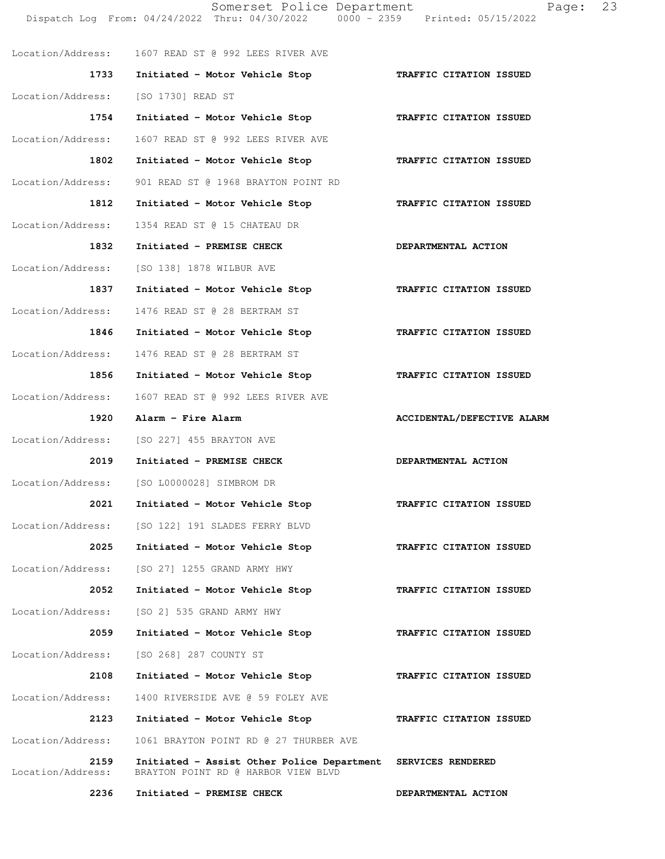Somerset Police Department Page: 23 Dispatch Log From: 04/24/2022 Thru: 04/30/2022 Location/Address: 1607 READ ST @ 992 LEES RIVER AVE  **1733 Initiated - Motor Vehicle Stop TRAFFIC CITATION ISSUED**  Location/Address: [SO 1730] READ ST  **1754 Initiated - Motor Vehicle Stop TRAFFIC CITATION ISSUED**  Location/Address: 1607 READ ST @ 992 LEES RIVER AVE  **1802 Initiated - Motor Vehicle Stop TRAFFIC CITATION ISSUED**  Location/Address: 901 READ ST @ 1968 BRAYTON POINT RD  **1812 Initiated - Motor Vehicle Stop TRAFFIC CITATION ISSUED**  Location/Address: 1354 READ ST @ 15 CHATEAU DR 1832 Initiated - PREMISE CHECK **DEPARTMENTAL ACTION** Location/Address: [SO 138] 1878 WILBUR AVE  **1837 Initiated - Motor Vehicle Stop TRAFFIC CITATION ISSUED**  Location/Address: 1476 READ ST @ 28 BERTRAM ST  **1846 Initiated - Motor Vehicle Stop TRAFFIC CITATION ISSUED**  Location/Address: 1476 READ ST @ 28 BERTRAM ST  **1856 Initiated - Motor Vehicle Stop TRAFFIC CITATION ISSUED**  Location/Address: 1607 READ ST @ 992 LEES RIVER AVE 1920 Alarm - Fire Alarm **AcciDENTAL/DEFECTIVE ALARM** Location/Address: [SO 227] 455 BRAYTON AVE  **2019 Initiated - PREMISE CHECK DEPARTMENTAL ACTION**  Location/Address: [SO L0000028] SIMBROM DR  **2021 Initiated - Motor Vehicle Stop TRAFFIC CITATION ISSUED**  Location/Address: [SO 122] 191 SLADES FERRY BLVD  **2025 Initiated - Motor Vehicle Stop TRAFFIC CITATION ISSUED**  Location/Address: [SO 27] 1255 GRAND ARMY HWY  **2052 Initiated - Motor Vehicle Stop TRAFFIC CITATION ISSUED**  Location/Address: [SO 2] 535 GRAND ARMY HWY  **2059 Initiated - Motor Vehicle Stop TRAFFIC CITATION ISSUED**  Location/Address: [SO 268] 287 COUNTY ST  **2108 Initiated - Motor Vehicle Stop TRAFFIC CITATION ISSUED**  Location/Address: 1400 RIVERSIDE AVE @ 59 FOLEY AVE  **2123 Initiated - Motor Vehicle Stop TRAFFIC CITATION ISSUED**  Location/Address: 1061 BRAYTON POINT RD @ 27 THURBER AVE  **2159 Initiated - Assist Other Police Department SERVICES RENDERED**  Location/Address: BRAYTON POINT RD @ HARBOR VIEW BLVD  **2236 Initiated - PREMISE CHECK DEPARTMENTAL ACTION**